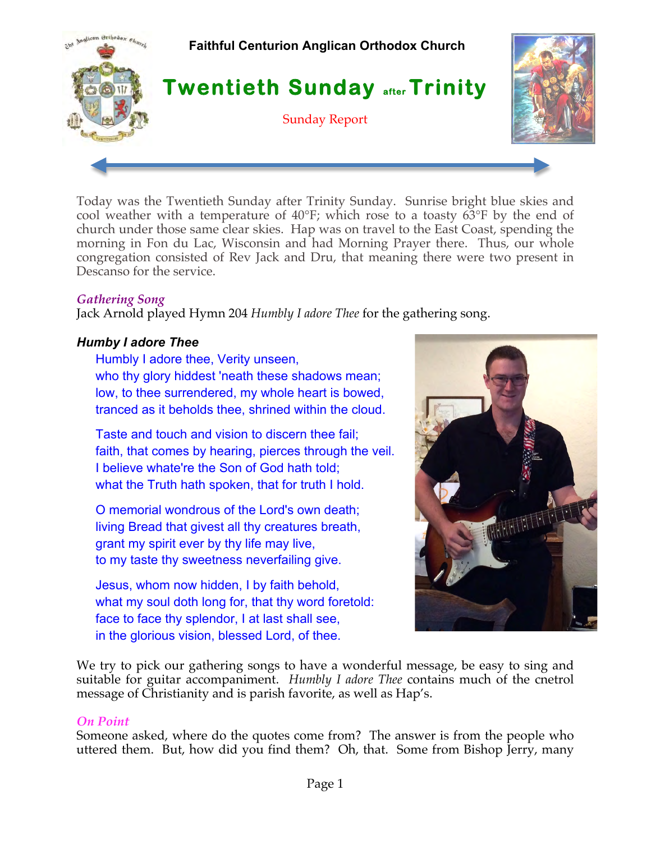

Today was the Twentieth Sunday after Trinity Sunday. Sunrise bright blue skies and cool weather with a temperature of 40°F; which rose to a toasty 63°F by the end of church under those same clear skies. Hap was on travel to the East Coast, spending the morning in Fon du Lac, Wisconsin and had Morning Prayer there. Thus, our whole congregation consisted of Rev Jack and Dru, that meaning there were two present in Descanso for the service.

#### *Gathering Song*

Jack Arnold played Hymn 204 *Humbly I adore Thee* for the gathering song.

## *Humby I adore Thee*

Humbly I adore thee, Verity unseen, who thy glory hiddest 'neath these shadows mean; low, to thee surrendered, my whole heart is bowed, tranced as it beholds thee, shrined within the cloud.

Taste and touch and vision to discern thee fail; faith, that comes by hearing, pierces through the veil. I believe whate're the Son of God hath told; what the Truth hath spoken, that for truth I hold.

O memorial wondrous of the Lord's own death; living Bread that givest all thy creatures breath, grant my spirit ever by thy life may live, to my taste thy sweetness neverfailing give.

Jesus, whom now hidden, I by faith behold, what my soul doth long for, that thy word foretold: face to face thy splendor, I at last shall see, in the glorious vision, blessed Lord, of thee.



We try to pick our gathering songs to have a wonderful message, be easy to sing and suitable for guitar accompaniment. *Humbly I adore Thee* contains much of the cnetrol message of Christianity and is parish favorite, as well as Hap's.

#### *On Point*

Someone asked, where do the quotes come from? The answer is from the people who uttered them. But, how did you find them? Oh, that. Some from Bishop Jerry, many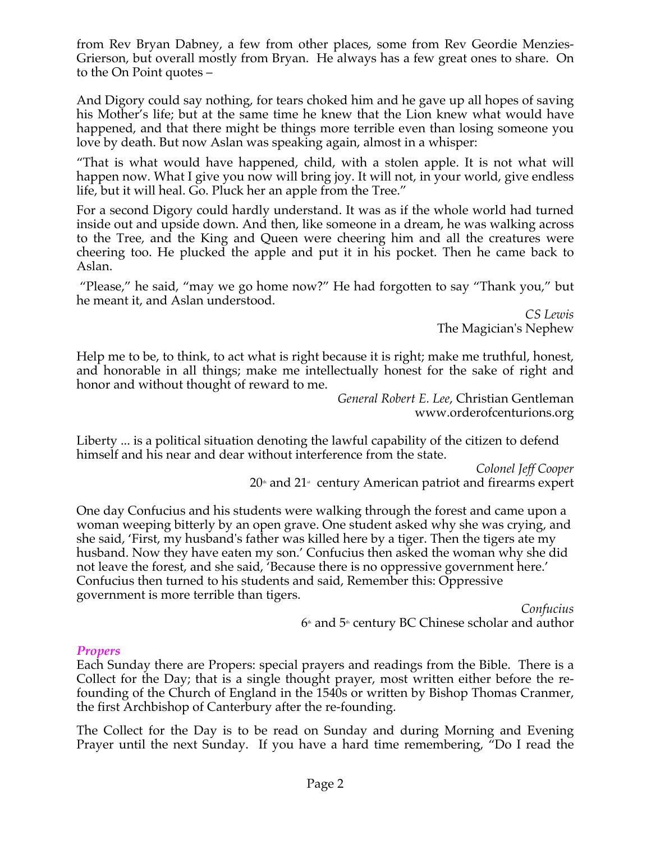from Rev Bryan Dabney, a few from other places, some from Rev Geordie Menzies-Grierson, but overall mostly from Bryan. He always has a few great ones to share. On to the On Point quotes –

And Digory could say nothing, for tears choked him and he gave up all hopes of saving his Mother's life; but at the same time he knew that the Lion knew what would have happened, and that there might be things more terrible even than losing someone you love by death. But now Aslan was speaking again, almost in a whisper:

"That is what would have happened, child, with a stolen apple. It is not what will happen now. What I give you now will bring joy. It will not, in your world, give endless life, but it will heal. Go. Pluck her an apple from the Tree."

For a second Digory could hardly understand. It was as if the whole world had turned inside out and upside down. And then, like someone in a dream, he was walking across to the Tree, and the King and Queen were cheering him and all the creatures were cheering too. He plucked the apple and put it in his pocket. Then he came back to Aslan.

 "Please," he said, "may we go home now?" He had forgotten to say "Thank you," but he meant it, and Aslan understood.

*CS Lewis* The Magician's Nephew

Help me to be, to think, to act what is right because it is right; make me truthful, honest, and honorable in all things; make me intellectually honest for the sake of right and honor and without thought of reward to me.

*General Robert E. Lee*, Christian Gentleman www.orderofcenturions.org

Liberty ... is a political situation denoting the lawful capability of the citizen to defend himself and his near and dear without interference from the state.

> *Colonel Jeff Cooper*  $20<sup>th</sup>$  and  $21<sup>th</sup>$  century American patriot and firearms expert

One day Confucius and his students were walking through the forest and came upon a woman weeping bitterly by an open grave. One student asked why she was crying, and she said, 'First, my husband's father was killed here by a tiger. Then the tigers ate my husband. Now they have eaten my son.' Confucius then asked the woman why she did not leave the forest, and she said, 'Because there is no oppressive government here.' Confucius then turned to his students and said, Remember this: Oppressive government is more terrible than tigers.

*Confucius*  $6<sup>th</sup>$  and  $5<sup>th</sup>$  century BC Chinese scholar and author

## *Propers*

Each Sunday there are Propers: special prayers and readings from the Bible. There is a Collect for the Day; that is a single thought prayer, most written either before the refounding of the Church of England in the 1540s or written by Bishop Thomas Cranmer, the first Archbishop of Canterbury after the re-founding.

The Collect for the Day is to be read on Sunday and during Morning and Evening Prayer until the next Sunday. If you have a hard time remembering, "Do I read the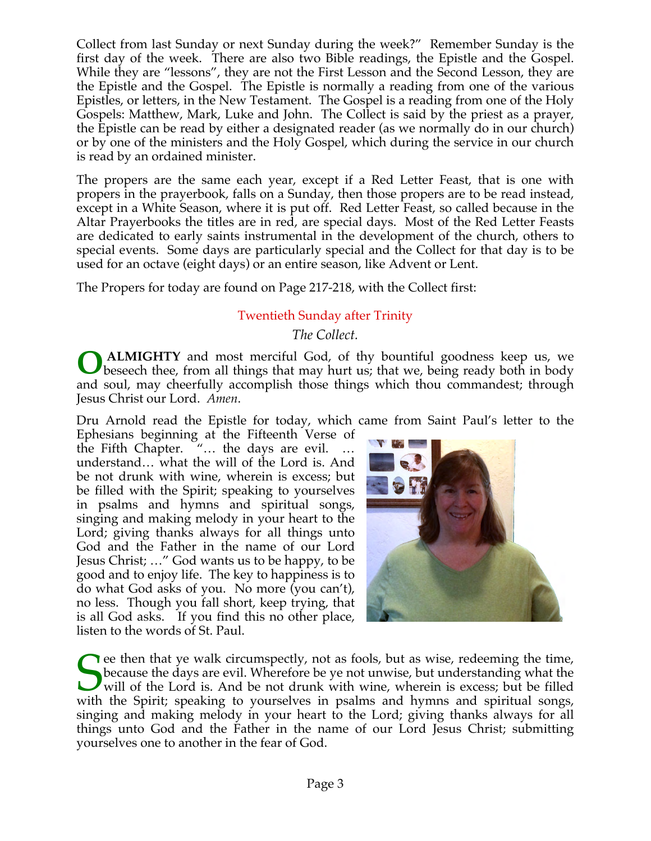Collect from last Sunday or next Sunday during the week?" Remember Sunday is the first day of the week. There are also two Bible readings, the Epistle and the Gospel. While they are "lessons", they are not the First Lesson and the Second Lesson, they are the Epistle and the Gospel. The Epistle is normally a reading from one of the various Epistles, or letters, in the New Testament. The Gospel is a reading from one of the Holy Gospels: Matthew, Mark, Luke and John. The Collect is said by the priest as a prayer, the Epistle can be read by either a designated reader (as we normally do in our church) or by one of the ministers and the Holy Gospel, which during the service in our church is read by an ordained minister.

The propers are the same each year, except if a Red Letter Feast, that is one with propers in the prayerbook, falls on a Sunday, then those propers are to be read instead, except in a White Season, where it is put off. Red Letter Feast, so called because in the Altar Prayerbooks the titles are in red, are special days. Most of the Red Letter Feasts are dedicated to early saints instrumental in the development of the church, others to special events. Some days are particularly special and the Collect for that day is to be used for an octave (eight days) or an entire season, like Advent or Lent.

The Propers for today are found on Page 217-218, with the Collect first:

# Twentieth Sunday after Trinity

# *The Collect.*

**ALMIGHTY** and most merciful God, of thy bountiful goodness keep us, we beseech thee, from all things that may hurt us; that we, being ready both in body and soul, may cheerfully accomplish those things which thou commandest; through Jesus Christ our Lord. *Amen*. **O**

Dru Arnold read the Epistle for today, which came from Saint Paul's letter to the

Ephesians beginning at the Fifteenth Verse of the Fifth Chapter. "... the days are evil. understand… what the will of the Lord is. And be not drunk with wine, wherein is excess; but be filled with the Spirit; speaking to yourselves in psalms and hymns and spiritual songs, singing and making melody in your heart to the Lord; giving thanks always for all things unto God and the Father in the name of our Lord Jesus Christ; …" God wants us to be happy, to be good and to enjoy life. The key to happiness is to do what God asks of you. No more (you can't), no less. Though you fall short, keep trying, that is all God asks. If you find this no other place, listen to the words of St. Paul.



ee then that ye walk circumspectly, not as fools, but as wise, redeeming the time, because the days are evil. Wherefore be ye not unwise, but understanding what the will of the Lord is. And be not drunk with wine, wherein is excess; but be filled with the Spirit; speaking to yourselves in psalms and hymns and spiritual songs, singing and making melody in your heart to the Lord; giving thanks always for all things unto God and the Father in the name of our Lord Jesus Christ; submitting yourselves one to another in the fear of God. S<sub>with</sub>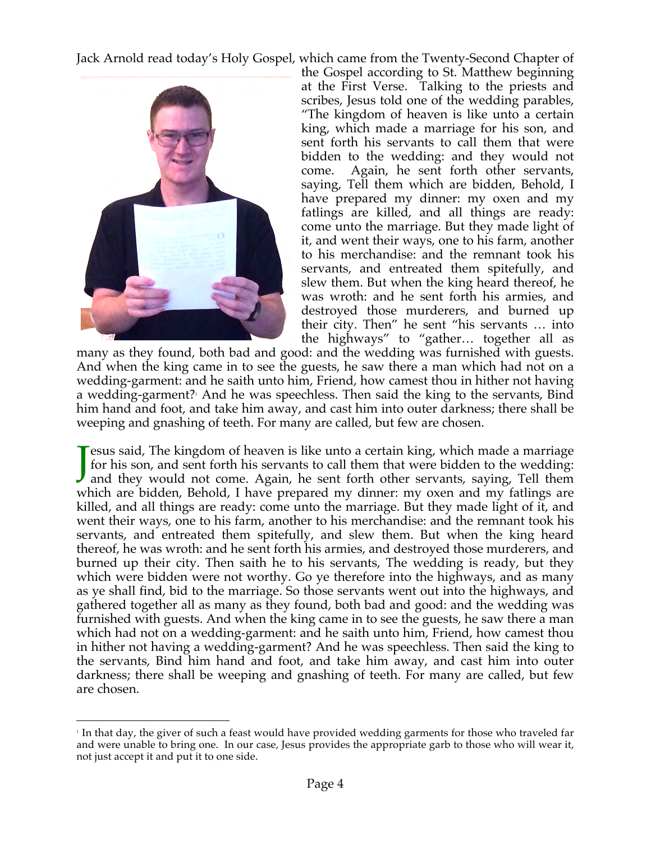Jack Arnold read today's Holy Gospel, which came from the Twenty-Second Chapter of



the Gospel according to St. Matthew beginning at the First Verse. Talking to the priests and scribes, Jesus told one of the wedding parables, "The kingdom of heaven is like unto a certain king, which made a marriage for his son, and sent forth his servants to call them that were bidden to the wedding: and they would not come. Again, he sent forth other servants, saying, Tell them which are bidden, Behold, I have prepared my dinner: my oxen and my fatlings are killed, and all things are ready: come unto the marriage. But they made light of it, and went their ways, one to his farm, another to his merchandise: and the remnant took his servants, and entreated them spitefully, and slew them. But when the king heard thereof, he was wroth: and he sent forth his armies, and destroyed those murderers, and burned up their city. Then" he sent "his servants … into the highways" to "gather… together all as

many as they found, both bad and good: and the wedding was furnished with guests. And when the king came in to see the guests, he saw there a man which had not on a wedding-garment: and he saith unto him, Friend, how camest thou in hither not having a wedding-garment?1 And he was speechless. Then said the king to the servants, Bind him hand and foot, and take him away, and cast him into outer darkness; there shall be weeping and gnashing of teeth. For many are called, but few are chosen.

**T** esus said, The kingdom of heaven is like unto a certain king, which made a marriage for his son, and sent forth his servants to call them that were bidden to the wedding: Jesus said, The kingdom of heaven is like unto a certain king, which made a marriage for his son, and sent forth his servants to call them that were bidden to the wedding: and they would not come. Again, he sent forth othe which are bidden, Behold, I have prepared my dinner: my oxen and my fatlings are killed, and all things are ready: come unto the marriage. But they made light of it, and went their ways, one to his farm, another to his merchandise: and the remnant took his servants, and entreated them spitefully, and slew them. But when the king heard thereof, he was wroth: and he sent forth his armies, and destroyed those murderers, and burned up their city. Then saith he to his servants, The wedding is ready, but they which were bidden were not worthy. Go ye therefore into the highways, and as many as ye shall find, bid to the marriage. So those servants went out into the highways, and gathered together all as many as they found, both bad and good: and the wedding was furnished with guests. And when the king came in to see the guests, he saw there a man which had not on a wedding-garment: and he saith unto him, Friend, how camest thou in hither not having a wedding-garment? And he was speechless. Then said the king to the servants, Bind him hand and foot, and take him away, and cast him into outer darkness; there shall be weeping and gnashing of teeth. For many are called, but few are chosen.

<sup>&</sup>lt;sup>1</sup> In that day, the giver of such a feast would have provided wedding garments for those who traveled far and were unable to bring one. In our case, Jesus provides the appropriate garb to those who will wear it, not just accept it and put it to one side.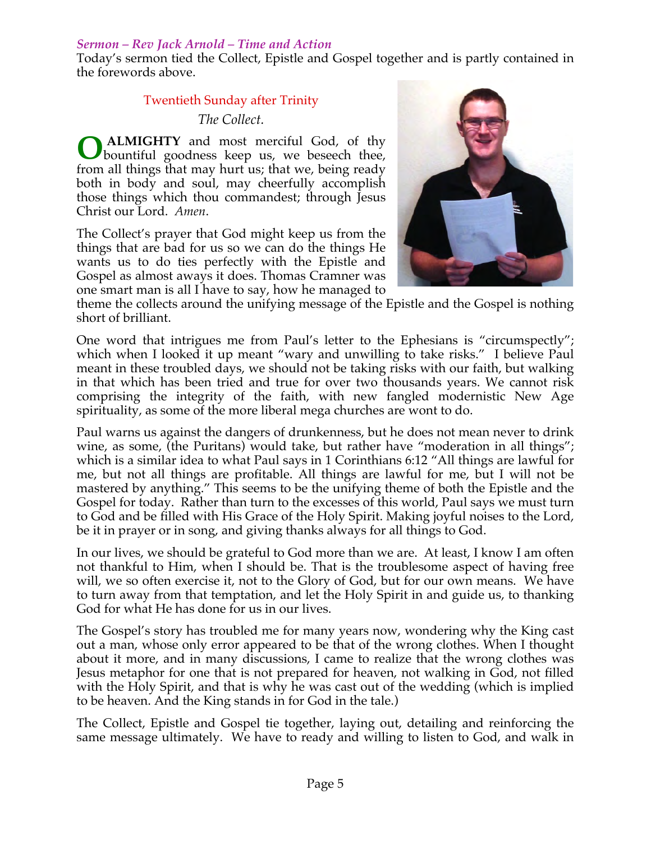### *Sermon – Rev Jack Arnold – Time and Action*

Today's sermon tied the Collect, Epistle and Gospel together and is partly contained in the forewords above.

### Twentieth Sunday after Trinity

*The Collect.*

**ALMIGHTY** and most merciful God, of thy bountiful goodness keep us, we beseech thee, from all things that may hurt us; that we, being ready both in body and soul, may cheerfully accomplish those things which thou commandest; through Jesus Christ our Lord. *Amen*. **O**

The Collect's prayer that God might keep us from the things that are bad for us so we can do the things He wants us to do ties perfectly with the Epistle and Gospel as almost aways it does. Thomas Cramner was one smart man is all I have to say, how he managed to



theme the collects around the unifying message of the Epistle and the Gospel is nothing short of brilliant.

One word that intrigues me from Paul's letter to the Ephesians is "circumspectly"; which when I looked it up meant "wary and unwilling to take risks." I believe Paul meant in these troubled days, we should not be taking risks with our faith, but walking in that which has been tried and true for over two thousands years. We cannot risk comprising the integrity of the faith, with new fangled modernistic New Age spirituality, as some of the more liberal mega churches are wont to do.

Paul warns us against the dangers of drunkenness, but he does not mean never to drink wine, as some, (the Puritans) would take, but rather have "moderation in all things"; which is a similar idea to what Paul says in 1 Corinthians 6:12 "All things are lawful for me, but not all things are profitable. All things are lawful for me, but I will not be mastered by anything." This seems to be the unifying theme of both the Epistle and the Gospel for today. Rather than turn to the excesses of this world, Paul says we must turn to God and be filled with His Grace of the Holy Spirit. Making joyful noises to the Lord, be it in prayer or in song, and giving thanks always for all things to God.

In our lives, we should be grateful to God more than we are. At least, I know I am often not thankful to Him, when I should be. That is the troublesome aspect of having free will, we so often exercise it, not to the Glory of God, but for our own means. We have to turn away from that temptation, and let the Holy Spirit in and guide us, to thanking God for what He has done for us in our lives.

The Gospel's story has troubled me for many years now, wondering why the King cast out a man, whose only error appeared to be that of the wrong clothes. When I thought about it more, and in many discussions, I came to realize that the wrong clothes was Jesus metaphor for one that is not prepared for heaven, not walking in God, not filled with the Holy Spirit, and that is why he was cast out of the wedding (which is implied to be heaven. And the King stands in for God in the tale.)

The Collect, Epistle and Gospel tie together, laying out, detailing and reinforcing the same message ultimately. We have to ready and willing to listen to God, and walk in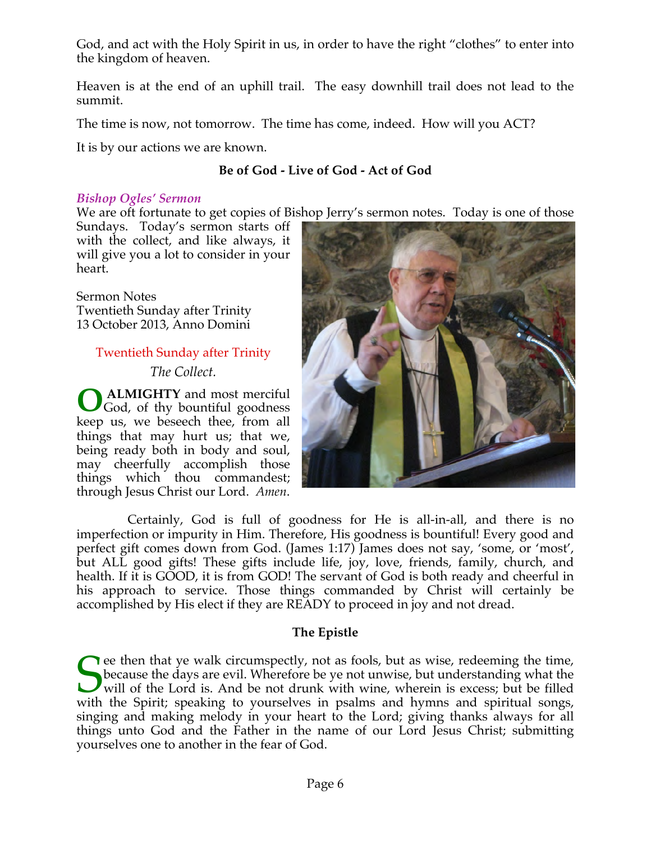God, and act with the Holy Spirit in us, in order to have the right "clothes" to enter into the kingdom of heaven.

Heaven is at the end of an uphill trail. The easy downhill trail does not lead to the summit.

The time is now, not tomorrow. The time has come, indeed. How will you ACT?

It is by our actions we are known.

## **Be of God - Live of God - Act of God**

### *Bishop Ogles' Sermon*

We are oft fortunate to get copies of Bishop Jerry's sermon notes. Today is one of those

Sundays. Today's sermon starts off with the collect, and like always, it will give you a lot to consider in your heart.

Sermon Notes Twentieth Sunday after Trinity 13 October 2013, Anno Domini

# Twentieth Sunday after Trinity

## *The Collect.*

**ALMIGHTY** and most merciful God, of thy bountiful goodness keep us, we beseech thee, from all things that may hurt us; that we, being ready both in body and soul, may cheerfully accomplish those things which thou commandest; through Jesus Christ our Lord. *Amen*. **O**



Certainly, God is full of goodness for He is all-in-all, and there is no imperfection or impurity in Him. Therefore, His goodness is bountiful! Every good and perfect gift comes down from God. (James 1:17) James does not say, 'some, or 'most', but ALL good gifts! These gifts include life, joy, love, friends, family, church, and health. If it is GOOD, it is from GOD! The servant of God is both ready and cheerful in his approach to service. Those things commanded by Christ will certainly be accomplished by His elect if they are READY to proceed in joy and not dread.

#### **The Epistle**

Secause the days are evil. Wherefore be ye not unwise, but understanding what the will of the Lord is. And be not drunk with wine, wherein is excess; but be filled with the Spirit: speaking to vourselves in psalms and hymn because the days are evil. Wherefore be ye not unwise, but understanding what the will of the Lord is. And be not drunk with wine, wherein is excess; but be filled with the Spirit; speaking to yourselves in psalms and hymns and spiritual songs, singing and making melody in your heart to the Lord; giving thanks always for all things unto God and the Father in the name of our Lord Jesus Christ; submitting yourselves one to another in the fear of God.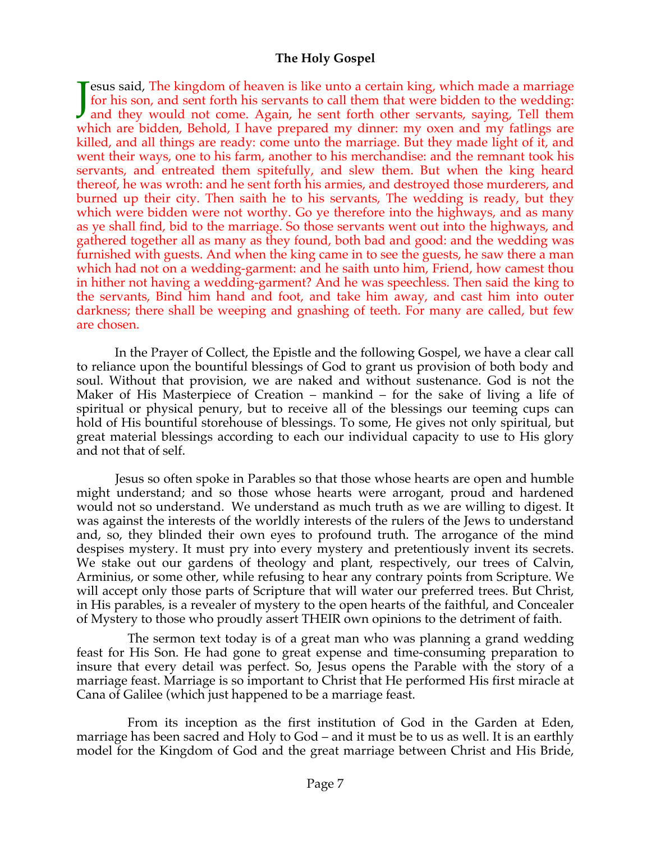### **The Holy Gospel**

esus said, The kingdom of heaven is like unto a certain king, which made a marriage for his son, and sent forth his servants to call them that were bidden to the wedding: Jesus said, The kingdom of heaven is like unto a certain king, which made a marriage for his son, and sent forth his servants to call them that were bidden to the wedding: and they would not come. Again, he sent forth othe which are bidden, Behold, I have prepared my dinner: my oxen and my fatlings are killed, and all things are ready: come unto the marriage. But they made light of it, and went their ways, one to his farm, another to his merchandise: and the remnant took his servants, and entreated them spitefully, and slew them. But when the king heard thereof, he was wroth: and he sent forth his armies, and destroyed those murderers, and burned up their city. Then saith he to his servants, The wedding is ready, but they which were bidden were not worthy. Go ye therefore into the highways, and as many as ye shall find, bid to the marriage. So those servants went out into the highways, and gathered together all as many as they found, both bad and good: and the wedding was furnished with guests. And when the king came in to see the guests, he saw there a man which had not on a wedding-garment: and he saith unto him, Friend, how camest thou in hither not having a wedding-garment? And he was speechless. Then said the king to the servants, Bind him hand and foot, and take him away, and cast him into outer darkness; there shall be weeping and gnashing of teeth. For many are called, but few are chosen.

 In the Prayer of Collect, the Epistle and the following Gospel, we have a clear call to reliance upon the bountiful blessings of God to grant us provision of both body and soul. Without that provision, we are naked and without sustenance. God is not the Maker of His Masterpiece of Creation – mankind – for the sake of living a life of spiritual or physical penury, but to receive all of the blessings our teeming cups can hold of His bountiful storehouse of blessings. To some, He gives not only spiritual, but great material blessings according to each our individual capacity to use to His glory and not that of self.

 Jesus so often spoke in Parables so that those whose hearts are open and humble might understand; and so those whose hearts were arrogant, proud and hardened would not so understand. We understand as much truth as we are willing to digest. It was against the interests of the worldly interests of the rulers of the Jews to understand and, so, they blinded their own eyes to profound truth. The arrogance of the mind despises mystery. It must pry into every mystery and pretentiously invent its secrets. We stake out our gardens of theology and plant, respectively, our trees of Calvin, Arminius, or some other, while refusing to hear any contrary points from Scripture. We will accept only those parts of Scripture that will water our preferred trees. But Christ, in His parables, is a revealer of mystery to the open hearts of the faithful, and Concealer of Mystery to those who proudly assert THEIR own opinions to the detriment of faith.

The sermon text today is of a great man who was planning a grand wedding feast for His Son. He had gone to great expense and time-consuming preparation to insure that every detail was perfect. So, Jesus opens the Parable with the story of a marriage feast. Marriage is so important to Christ that He performed His first miracle at Cana of Galilee (which just happened to be a marriage feast.

From its inception as the first institution of God in the Garden at Eden, marriage has been sacred and Holy to God – and it must be to us as well. It is an earthly model for the Kingdom of God and the great marriage between Christ and His Bride,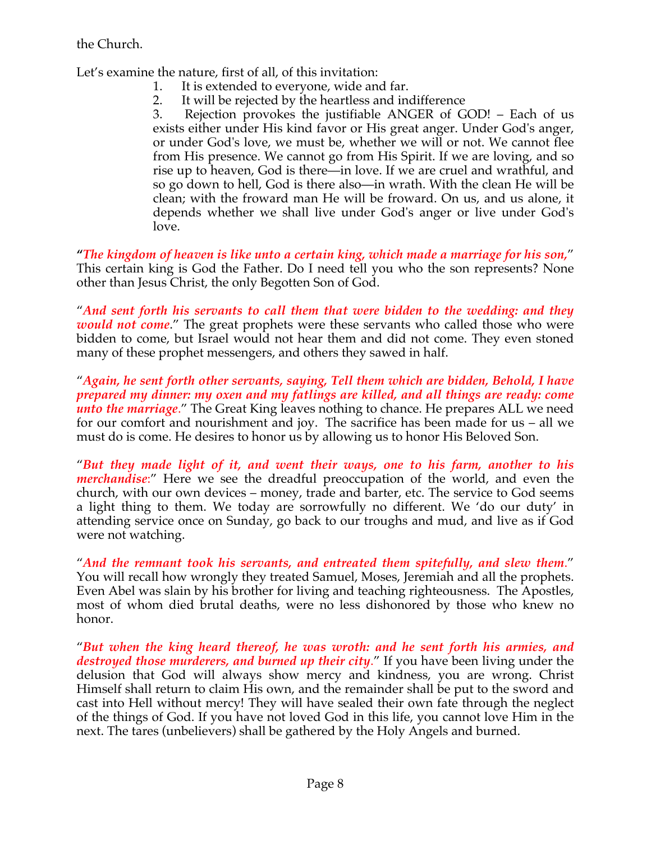the Church.

Let's examine the nature, first of all, of this invitation:

- 1. It is extended to everyone, wide and far.
- 2. It will be rejected by the heartless and indifference

3. Rejection provokes the justifiable ANGER of GOD! – Each of us exists either under His kind favor or His great anger. Under God's anger, or under God's love, we must be, whether we will or not. We cannot flee from His presence. We cannot go from His Spirit. If we are loving, and so rise up to heaven, God is there—in love. If we are cruel and wrathful, and so go down to hell, God is there also—in wrath. With the clean He will be clean; with the froward man He will be froward. On us, and us alone, it depends whether we shall live under God's anger or live under God's love.

**"***The kingdom of heaven is like unto a certain king, which made a marriage for his son,*" This certain king is God the Father. Do I need tell you who the son represents? None other than Jesus Christ, the only Begotten Son of God.

"*And sent forth his servants to call them that were bidden to the wedding: and they would not come.*" The great prophets were these servants who called those who were bidden to come, but Israel would not hear them and did not come. They even stoned many of these prophet messengers, and others they sawed in half.

"*Again, he sent forth other servants, saying, Tell them which are bidden, Behold, I have prepared my dinner: my oxen and my fatlings are killed, and all things are ready: come unto the marriage*." The Great King leaves nothing to chance. He prepares ALL we need for our comfort and nourishment and joy. The sacrifice has been made for us – all we must do is come. He desires to honor us by allowing us to honor His Beloved Son.

"*But they made light of it, and went their ways, one to his farm, another to his merchandise*:" Here we see the dreadful preoccupation of the world, and even the church, with our own devices – money, trade and barter, etc. The service to God seems a light thing to them. We today are sorrowfully no different. We 'do our duty' in attending service once on Sunday, go back to our troughs and mud, and live as if God were not watching.

"*And the remnant took his servants, and entreated them spitefully, and slew them*." You will recall how wrongly they treated Samuel, Moses, Jeremiah and all the prophets. Even Abel was slain by his brother for living and teaching righteousness. The Apostles, most of whom died brutal deaths, were no less dishonored by those who knew no honor.

"*But when the king heard thereof, he was wroth: and he sent forth his armies, and destroyed those murderers, and burned up their city*." If you have been living under the delusion that God will always show mercy and kindness, you are wrong. Christ Himself shall return to claim His own, and the remainder shall be put to the sword and cast into Hell without mercy! They will have sealed their own fate through the neglect of the things of God. If you have not loved God in this life, you cannot love Him in the next. The tares (unbelievers) shall be gathered by the Holy Angels and burned.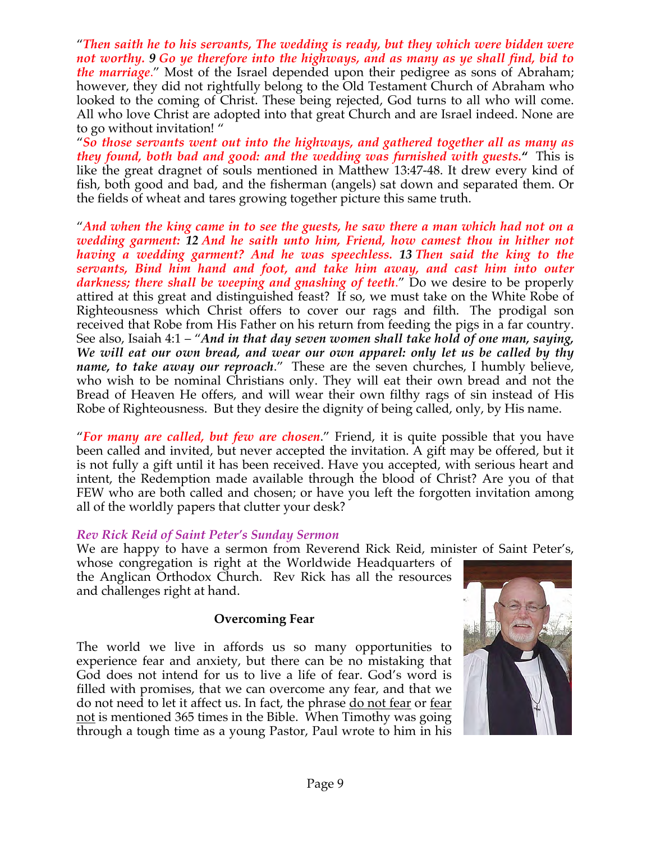"*Then saith he to his servants, The wedding is ready, but they which were bidden were not worthy. 9 Go ye therefore into the highways, and as many as ye shall find, bid to the marriage*." Most of the Israel depended upon their pedigree as sons of Abraham; however, they did not rightfully belong to the Old Testament Church of Abraham who looked to the coming of Christ. These being rejected, God turns to all who will come. All who love Christ are adopted into that great Church and are Israel indeed. None are to go without invitation! "

"*So those servants went out into the highways, and gathered together all as many as they found, both bad and good: and the wedding was furnished with guests.***"** This is like the great dragnet of souls mentioned in Matthew 13:47-48. It drew every kind of fish, both good and bad, and the fisherman (angels) sat down and separated them. Or the fields of wheat and tares growing together picture this same truth.

"*And when the king came in to see the guests, he saw there a man which had not on a wedding garment: 12 And he saith unto him, Friend, how camest thou in hither not having a wedding garment? And he was speechless. 13 Then said the king to the servants, Bind him hand and foot, and take him away, and cast him into outer darkness; there shall be weeping and gnashing of teeth."* Do we desire to be properly attired at this great and distinguished feast? If so, we must take on the White Robe of Righteousness which Christ offers to cover our rags and filth. The prodigal son received that Robe from His Father on his return from feeding the pigs in a far country. See also, Isaiah 4:1 – "*And in that day seven women shall take hold of one man, saying, We will eat our own bread, and wear our own apparel: only let us be called by thy name, to take away our reproach*." These are the seven churches, I humbly believe, who wish to be nominal Christians only. They will eat their own bread and not the Bread of Heaven He offers, and will wear their own filthy rags of sin instead of His Robe of Righteousness. But they desire the dignity of being called, only, by His name.

"*For many are called, but few are chosen*." Friend, it is quite possible that you have been called and invited, but never accepted the invitation. A gift may be offered, but it is not fully a gift until it has been received. Have you accepted, with serious heart and intent, the Redemption made available through the blood of Christ? Are you of that FEW who are both called and chosen; or have you left the forgotten invitation among all of the worldly papers that clutter your desk?

#### *Rev Rick Reid of Saint Peter's Sunday Sermon*

We are happy to have a sermon from Reverend Rick Reid, minister of Saint Peter's,

whose congregation is right at the Worldwide Headquarters of the Anglican Orthodox Church. Rev Rick has all the resources and challenges right at hand.

#### **Overcoming Fear**

The world we live in affords us so many opportunities to experience fear and anxiety, but there can be no mistaking that God does not intend for us to live a life of fear. God's word is filled with promises, that we can overcome any fear, and that we do not need to let it affect us. In fact, the phrase do not fear or fear not is mentioned 365 times in the Bible. When Timothy was going through a tough time as a young Pastor, Paul wrote to him in his

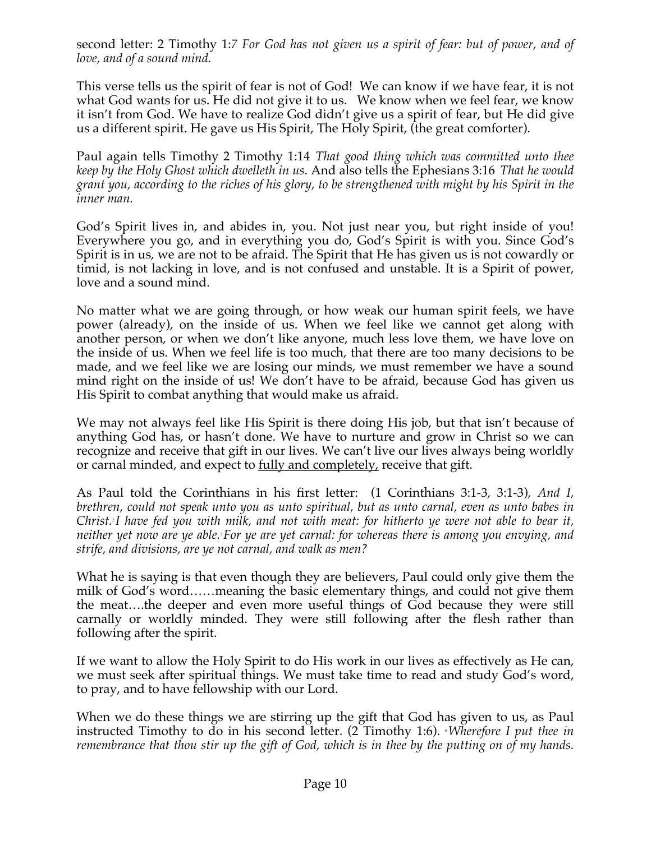second letter: 2 Timothy 1:*7 For God has not given us a spirit of fear: but of power, and of love, and of a sound mind.*

This verse tells us the spirit of fear is not of God! We can know if we have fear, it is not what God wants for us. He did not give it to us. We know when we feel fear, we know it isn't from God. We have to realize God didn't give us a spirit of fear, but He did give us a different spirit. He gave us His Spirit, The Holy Spirit, (the great comforter).

Paul again tells Timothy 2 Timothy 1:14 *That good thing which was committed unto thee keep by the Holy Ghost which dwelleth in us*. And also tells the Ephesians 3:16 *That he would grant you, according to the riches of his glory, to be strengthened with might by his Spirit in the inner man.*

God's Spirit lives in, and abides in, you. Not just near you, but right inside of you! Everywhere you go, and in everything you do, God's Spirit is with you. Since God's Spirit is in us, we are not to be afraid. The Spirit that He has given us is not cowardly or timid, is not lacking in love, and is not confused and unstable. It is a Spirit of power, love and a sound mind.

No matter what we are going through, or how weak our human spirit feels, we have power (already), on the inside of us. When we feel like we cannot get along with another person, or when we don't like anyone, much less love them, we have love on the inside of us. When we feel life is too much, that there are too many decisions to be made, and we feel like we are losing our minds, we must remember we have a sound mind right on the inside of us! We don't have to be afraid, because God has given us His Spirit to combat anything that would make us afraid.

We may not always feel like His Spirit is there doing His job, but that isn't because of anything God has, or hasn't done. We have to nurture and grow in Christ so we can recognize and receive that gift in our lives. We can't live our lives always being worldly or carnal minded, and expect to <u>fully and completely</u>, receive that gift.

As Paul told the Corinthians in his first letter: (1 Corinthians 3:1-3*,* 3:1-3)*, And I, brethren, could not speak unto you as unto spiritual, but as unto carnal, even as unto babes in Christ.2 I have fed you with milk, and not with meat: for hitherto ye were not able to bear it,*  neither yet now are ye able.<sup>,</sup>For ye are yet carnal: for whereas there is among you envying, and *strife, and divisions, are ye not carnal, and walk as men?*

What he is saying is that even though they are believers, Paul could only give them the milk of God's word……meaning the basic elementary things, and could not give them the meat….the deeper and even more useful things of God because they were still carnally or worldly minded. They were still following after the flesh rather than following after the spirit.

If we want to allow the Holy Spirit to do His work in our lives as effectively as He can, we must seek after spiritual things. We must take time to read and study God's word, to pray, and to have fellowship with our Lord.

When we do these things we are stirring up the gift that God has given to us, as Paul instructed Timothy to do in his second letter. (2 Timothy 1:6). 6 *Wherefore I put thee in remembrance that thou stir up the gift of God, which is in thee by the putting on of my hands.*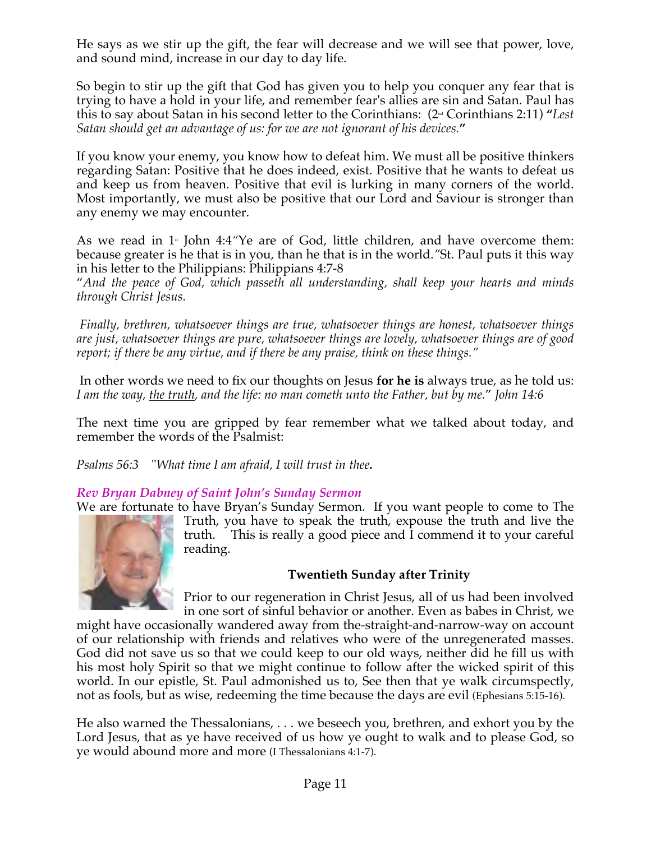He says as we stir up the gift, the fear will decrease and we will see that power, love, and sound mind, increase in our day to day life.

So begin to stir up the gift that God has given you to help you conquer any fear that is trying to have a hold in your life, and remember fear's allies are sin and Satan. Paul has this to say about Satan in his second letter to the Corinthians: (2nd Corinthians 2:11) **"***Lest Satan should get an advantage of us: for we are not ignorant of his devices.***"**

If you know your enemy, you know how to defeat him. We must all be positive thinkers regarding Satan: Positive that he does indeed, exist. Positive that he wants to defeat us and keep us from heaven. Positive that evil is lurking in many corners of the world. Most importantly, we must also be positive that our Lord and Saviour is stronger than any enemy we may encounter.

As we read in 1<sup>\*</sup> John 4:4"Ye are of God, little children, and have overcome them: because greater is he that is in you, than he that is in the world.*"*St. Paul puts it this way in his letter to the Philippians: Philippians 4:7-8

"*And the peace of God, which passeth all understanding, shall keep your hearts and minds through Christ Jesus.*

 *Finally, brethren, whatsoever things are true, whatsoever things are honest, whatsoever things are just, whatsoever things are pure, whatsoever things are lovely, whatsoever things are of good report; if there be any virtue, and if there be any praise, think on these things."*

In other words we need to fix our thoughts on Jesus **for he is** always true, as he told us: *I am the way, the truth, and the life: no man cometh unto the Father, but by me.*" *John 14:6*

The next time you are gripped by fear remember what we talked about today, and remember the words of the Psalmist:

*Psalms 56:3* "*What time I am afraid, I will trust in thee.* 

## *Rev Bryan Dabney of Saint John's Sunday Sermon*

We are fortunate to have Bryan's Sunday Sermon. If you want people to come to The



Truth, you have to speak the truth, expouse the truth and live the truth. This is really a good piece and I commend it to your careful reading.

## **Twentieth Sunday after Trinity**

Prior to our regeneration in Christ Jesus, all of us had been involved in one sort of sinful behavior or another. Even as babes in Christ, we

might have occasionally wandered away from the-straight-and-narrow-way on account of our relationship with friends and relatives who were of the unregenerated masses. God did not save us so that we could keep to our old ways, neither did he fill us with his most holy Spirit so that we might continue to follow after the wicked spirit of this world. In our epistle, St. Paul admonished us to, See then that ye walk circumspectly, not as fools, but as wise, redeeming the time because the days are evil (Ephesians 5:15-16).

He also warned the Thessalonians, . . . we beseech you, brethren, and exhort you by the Lord Jesus, that as ye have received of us how ye ought to walk and to please God, so ye would abound more and more (I Thessalonians 4:1-7).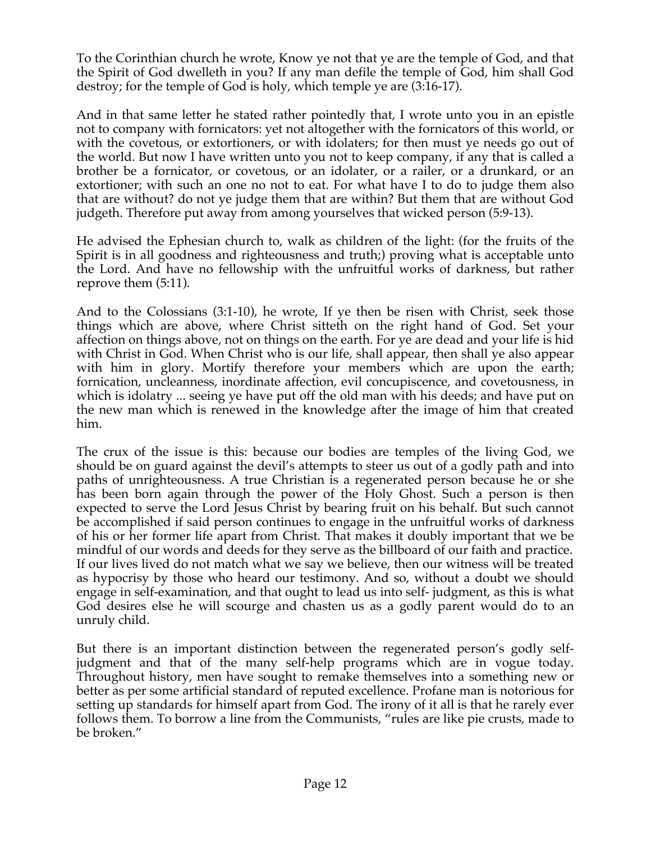To the Corinthian church he wrote, Know ye not that ye are the temple of God, and that the Spirit of God dwelleth in you? If any man defile the temple of God, him shall God destroy; for the temple of God is holy, which temple ye are (3:16-17).

And in that same letter he stated rather pointedly that, I wrote unto you in an epistle not to company with fornicators: yet not altogether with the fornicators of this world, or with the covetous, or extortioners, or with idolaters; for then must ye needs go out of the world. But now I have written unto you not to keep company, if any that is called a brother be a fornicator, or covetous, or an idolater, or a railer, or a drunkard, or an extortioner; with such an one no not to eat. For what have I to do to judge them also that are without? do not ye judge them that are within? But them that are without God judgeth. Therefore put away from among yourselves that wicked person (5:9-13).

He advised the Ephesian church to, walk as children of the light: (for the fruits of the Spirit is in all goodness and righteousness and truth;) proving what is acceptable unto the Lord. And have no fellowship with the unfruitful works of darkness, but rather reprove them (5:11).

And to the Colossians (3:1-10), he wrote, If ye then be risen with Christ, seek those things which are above, where Christ sitteth on the right hand of God. Set your affection on things above, not on things on the earth. For ye are dead and your life is hid with Christ in God. When Christ who is our life, shall appear, then shall ye also appear with him in glory. Mortify therefore your members which are upon the earth; fornication, uncleanness, inordinate affection, evil concupiscence, and covetousness, in which is idolatry ... seeing ye have put off the old man with his deeds; and have put on the new man which is renewed in the knowledge after the image of him that created him.

The crux of the issue is this: because our bodies are temples of the living God, we should be on guard against the devil's attempts to steer us out of a godly path and into paths of unrighteousness. A true Christian is a regenerated person because he or she has been born again through the power of the Holy Ghost. Such a person is then expected to serve the Lord Jesus Christ by bearing fruit on his behalf. But such cannot be accomplished if said person continues to engage in the unfruitful works of darkness of his or her former life apart from Christ. That makes it doubly important that we be mindful of our words and deeds for they serve as the billboard of our faith and practice. If our lives lived do not match what we say we believe, then our witness will be treated as hypocrisy by those who heard our testimony. And so, without a doubt we should engage in self-examination, and that ought to lead us into self- judgment, as this is what God desires else he will scourge and chasten us as a godly parent would do to an unruly child.

But there is an important distinction between the regenerated person's godly selfjudgment and that of the many self-help programs which are in vogue today. Throughout history, men have sought to remake themselves into a something new or better as per some artificial standard of reputed excellence. Profane man is notorious for setting up standards for himself apart from God. The irony of it all is that he rarely ever follows them. To borrow a line from the Communists, "rules are like pie crusts, made to be broken."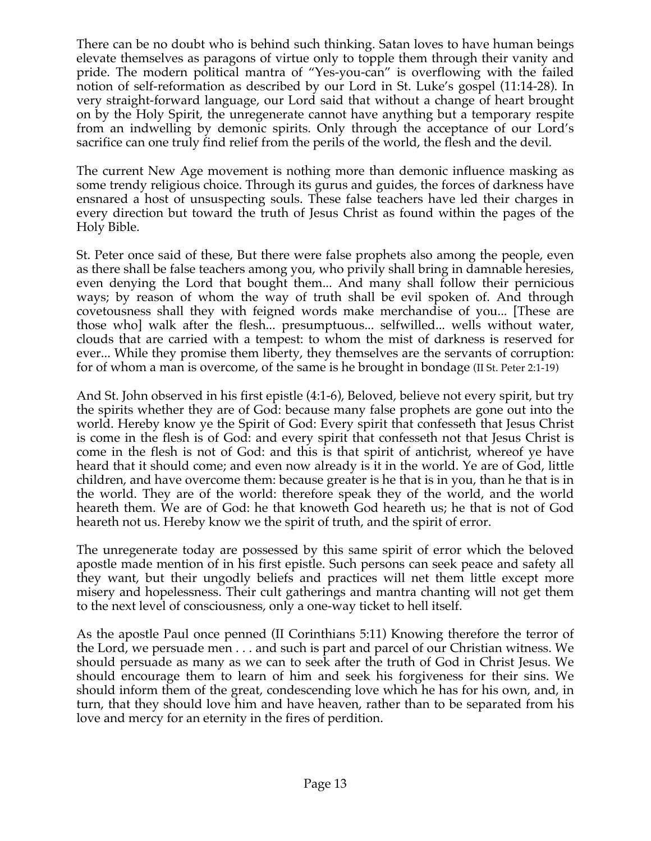There can be no doubt who is behind such thinking. Satan loves to have human beings elevate themselves as paragons of virtue only to topple them through their vanity and pride. The modern political mantra of "Yes-you-can" is overflowing with the failed notion of self-reformation as described by our Lord in St. Luke's gospel (11:14-28). In very straight-forward language, our Lord said that without a change of heart brought on by the Holy Spirit, the unregenerate cannot have anything but a temporary respite from an indwelling by demonic spirits. Only through the acceptance of our Lord's sacrifice can one truly find relief from the perils of the world, the flesh and the devil.

The current New Age movement is nothing more than demonic influence masking as some trendy religious choice. Through its gurus and guides, the forces of darkness have ensnared a host of unsuspecting souls. These false teachers have led their charges in every direction but toward the truth of Jesus Christ as found within the pages of the Holy Bible.

St. Peter once said of these, But there were false prophets also among the people, even as there shall be false teachers among you, who privily shall bring in damnable heresies, even denying the Lord that bought them... And many shall follow their pernicious ways; by reason of whom the way of truth shall be evil spoken of. And through covetousness shall they with feigned words make merchandise of you... [These are those who] walk after the flesh... presumptuous... selfwilled... wells without water, clouds that are carried with a tempest: to whom the mist of darkness is reserved for ever... While they promise them liberty, they themselves are the servants of corruption: for of whom a man is overcome, of the same is he brought in bondage (II St. Peter 2:1-19)

And St. John observed in his first epistle (4:1-6), Beloved, believe not every spirit, but try the spirits whether they are of God: because many false prophets are gone out into the world. Hereby know ye the Spirit of God: Every spirit that confesseth that Jesus Christ is come in the flesh is of God: and every spirit that confesseth not that Jesus Christ is come in the flesh is not of God: and this is that spirit of antichrist, whereof ye have heard that it should come; and even now already is it in the world. Ye are of God, little children, and have overcome them: because greater is he that is in you, than he that is in the world. They are of the world: therefore speak they of the world, and the world heareth them. We are of God: he that knoweth God heareth us; he that is not of God heareth not us. Hereby know we the spirit of truth, and the spirit of error.

The unregenerate today are possessed by this same spirit of error which the beloved apostle made mention of in his first epistle. Such persons can seek peace and safety all they want, but their ungodly beliefs and practices will net them little except more misery and hopelessness. Their cult gatherings and mantra chanting will not get them to the next level of consciousness, only a one-way ticket to hell itself.

As the apostle Paul once penned (II Corinthians 5:11) Knowing therefore the terror of the Lord, we persuade men . . . and such is part and parcel of our Christian witness. We should persuade as many as we can to seek after the truth of God in Christ Jesus. We should encourage them to learn of him and seek his forgiveness for their sins. We should inform them of the great, condescending love which he has for his own, and, in turn, that they should love him and have heaven, rather than to be separated from his love and mercy for an eternity in the fires of perdition.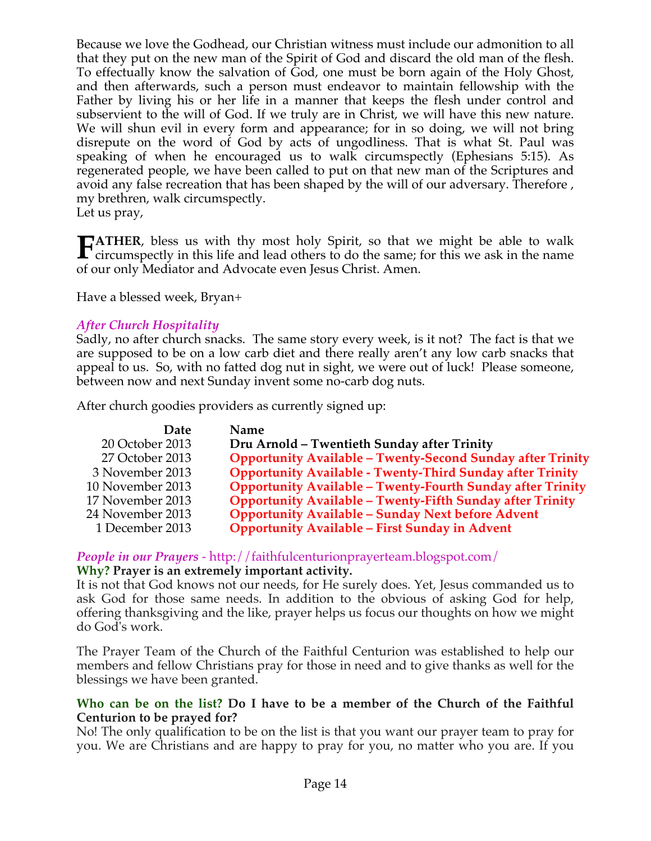Because we love the Godhead, our Christian witness must include our admonition to all that they put on the new man of the Spirit of God and discard the old man of the flesh. To effectually know the salvation of God, one must be born again of the Holy Ghost, and then afterwards, such a person must endeavor to maintain fellowship with the Father by living his or her life in a manner that keeps the flesh under control and subservient to the will of God. If we truly are in Christ, we will have this new nature. We will shun evil in every form and appearance; for in so doing, we will not bring disrepute on the word of God by acts of ungodliness. That is what St. Paul was speaking of when he encouraged us to walk circumspectly (Ephesians 5:15). As regenerated people, we have been called to put on that new man of the Scriptures and avoid any false recreation that has been shaped by the will of our adversary. Therefore , my brethren, walk circumspectly.

Let us pray,

**ATHER**, bless us with thy most holy Spirit, so that we might be able to walk **FATHER**, bless us with thy most holy Spirit, so that we might be able to walk circumspectly in this life and lead others to do the same; for this we ask in the name of our only Mediator and Advocate even Jesus Christ. Amen.

Have a blessed week, Bryan+

### *After Church Hospitality*

Sadly, no after church snacks. The same story every week, is it not? The fact is that we are supposed to be on a low carb diet and there really aren't any low carb snacks that appeal to us. So, with no fatted dog nut in sight, we were out of luck! Please someone, between now and next Sunday invent some no-carb dog nuts.

After church goodies providers as currently signed up:

| Date             | <b>Name</b>                                                       |
|------------------|-------------------------------------------------------------------|
| 20 October 2013  | Dru Arnold - Twentieth Sunday after Trinity                       |
| 27 October 2013  | <b>Opportunity Available - Twenty-Second Sunday after Trinity</b> |
| 3 November 2013  | <b>Opportunity Available - Twenty-Third Sunday after Trinity</b>  |
| 10 November 2013 | <b>Opportunity Available - Twenty-Fourth Sunday after Trinity</b> |
| 17 November 2013 | <b>Opportunity Available - Twenty-Fifth Sunday after Trinity</b>  |
| 24 November 2013 | <b>Opportunity Available - Sunday Next before Advent</b>          |
| 1 December 2013  | <b>Opportunity Available - First Sunday in Advent</b>             |

#### *People in our Prayers* - http://faithfulcenturionprayerteam.blogspot.com/ **Why? Prayer is an extremely important activity.**

It is not that God knows not our needs, for He surely does. Yet, Jesus commanded us to ask God for those same needs. In addition to the obvious of asking God for help, offering thanksgiving and the like, prayer helps us focus our thoughts on how we might do God's work.

The Prayer Team of the Church of the Faithful Centurion was established to help our members and fellow Christians pray for those in need and to give thanks as well for the blessings we have been granted.

#### **Who can be on the list? Do I have to be a member of the Church of the Faithful Centurion to be prayed for?**

No! The only qualification to be on the list is that you want our prayer team to pray for you. We are Christians and are happy to pray for you, no matter who you are. If you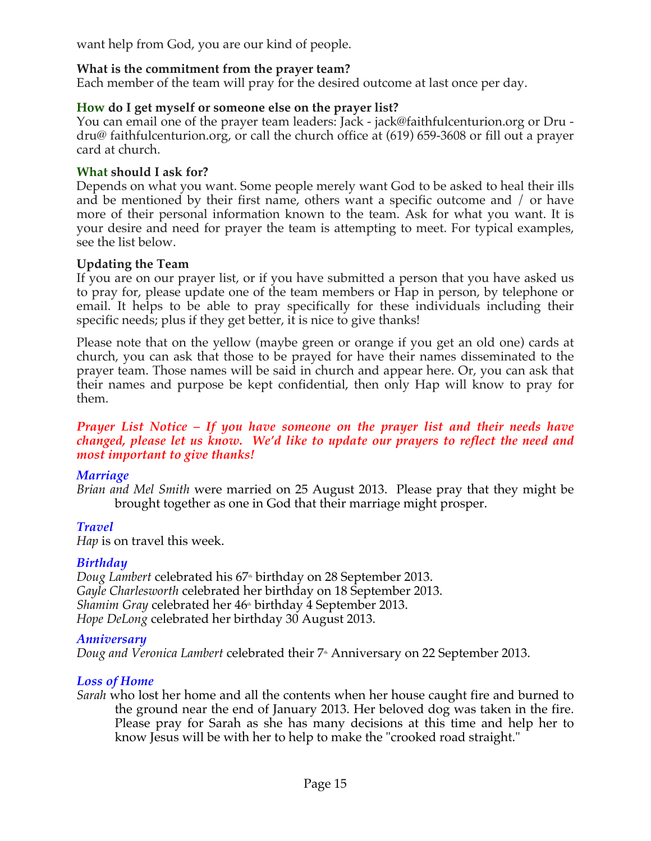want help from God, you are our kind of people.

### **What is the commitment from the prayer team?**

Each member of the team will pray for the desired outcome at last once per day.

### **How do I get myself or someone else on the prayer list?**

You can email one of the prayer team leaders: Jack - jack@faithfulcenturion.org or Dru dru@ faithfulcenturion.org, or call the church office at (619) 659-3608 or fill out a prayer card at church.

### **What should I ask for?**

Depends on what you want. Some people merely want God to be asked to heal their ills and be mentioned by their first name, others want a specific outcome and / or have more of their personal information known to the team. Ask for what you want. It is your desire and need for prayer the team is attempting to meet. For typical examples, see the list below.

#### **Updating the Team**

If you are on our prayer list, or if you have submitted a person that you have asked us to pray for, please update one of the team members or Hap in person, by telephone or email. It helps to be able to pray specifically for these individuals including their specific needs; plus if they get better, it is nice to give thanks!

Please note that on the yellow (maybe green or orange if you get an old one) cards at church, you can ask that those to be prayed for have their names disseminated to the prayer team. Those names will be said in church and appear here. Or, you can ask that their names and purpose be kept confidential, then only Hap will know to pray for them.

#### *Prayer List Notice – If you have someone on the prayer list and their needs have changed, please let us know. We'd like to update our prayers to reflect the need and most important to give thanks!*

#### *Marriage*

*Brian and Mel Smith* were married on 25 August 2013. Please pray that they might be brought together as one in God that their marriage might prosper.

## *Travel*

*Hap* is on travel this week.

#### *Birthday*

*Doug Lambert celebrated his 67<sup>th</sup>* birthday on 28 September 2013. *Gayle Charlesworth* celebrated her birthday on 18 September 2013. *Shamim Gray* celebrated her 46<sup>th</sup> birthday 4 September 2013. *Hope DeLong* celebrated her birthday 30 August 2013.

#### *Anniversary*

*Doug and Veronica Lambert celebrated their*  $7^{\circ}$  Anniversary on 22 September 2013.

## *Loss of Home*

*Sarah* who lost her home and all the contents when her house caught fire and burned to the ground near the end of January 2013. Her beloved dog was taken in the fire. Please pray for Sarah as she has many decisions at this time and help her to know Jesus will be with her to help to make the "crooked road straight."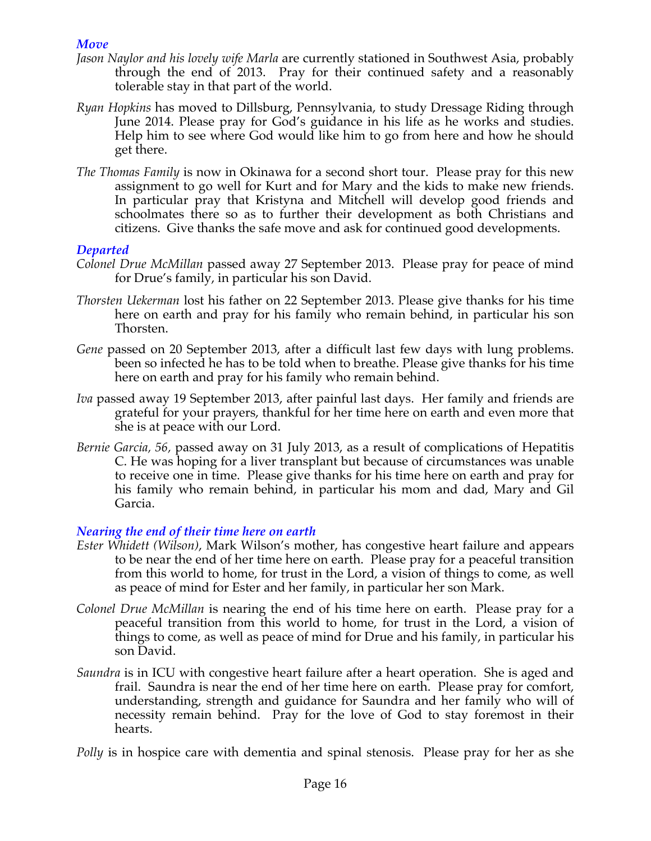### *Move*

- *Jason Naylor and his lovely wife Marla* are currently stationed in Southwest Asia, probably through the end of 2013. Pray for their continued safety and a reasonably tolerable stay in that part of the world.
- *Ryan Hopkins* has moved to Dillsburg, Pennsylvania, to study Dressage Riding through June 2014. Please pray for God's guidance in his life as he works and studies. Help him to see where God would like him to go from here and how he should get there.
- *The Thomas Family* is now in Okinawa for a second short tour. Please pray for this new assignment to go well for Kurt and for Mary and the kids to make new friends. In particular pray that Kristyna and Mitchell will develop good friends and schoolmates there so as to further their development as both Christians and citizens. Give thanks the safe move and ask for continued good developments.

### *Departed*

- *Colonel Drue McMillan* passed away 27 September 2013. Please pray for peace of mind for Drue's family, in particular his son David.
- *Thorsten Uekerman* lost his father on 22 September 2013. Please give thanks for his time here on earth and pray for his family who remain behind, in particular his son Thorsten.
- Gene passed on 20 September 2013, after a difficult last few days with lung problems. been so infected he has to be told when to breathe. Please give thanks for his time here on earth and pray for his family who remain behind.
- *Iva* passed away 19 September 2013, after painful last days. Her family and friends are grateful for your prayers, thankful for her time here on earth and even more that she is at peace with our Lord.
- *Bernie Garcia, 56,* passed away on 31 July 2013, as a result of complications of Hepatitis C. He was hoping for a liver transplant but because of circumstances was unable to receive one in time. Please give thanks for his time here on earth and pray for his family who remain behind, in particular his mom and dad, Mary and Gil Garcia.

## *Nearing the end of their time here on earth*

- *Ester Whidett (Wilson)*, Mark Wilson's mother, has congestive heart failure and appears to be near the end of her time here on earth. Please pray for a peaceful transition from this world to home, for trust in the Lord, a vision of things to come, as well as peace of mind for Ester and her family, in particular her son Mark.
- *Colonel Drue McMillan* is nearing the end of his time here on earth. Please pray for a peaceful transition from this world to home, for trust in the Lord, a vision of things to come, as well as peace of mind for Drue and his family, in particular his son David.
- *Saundra* is in ICU with congestive heart failure after a heart operation. She is aged and frail. Saundra is near the end of her time here on earth. Please pray for comfort, understanding, strength and guidance for Saundra and her family who will of necessity remain behind. Pray for the love of God to stay foremost in their hearts.

*Polly* is in hospice care with dementia and spinal stenosis. Please pray for her as she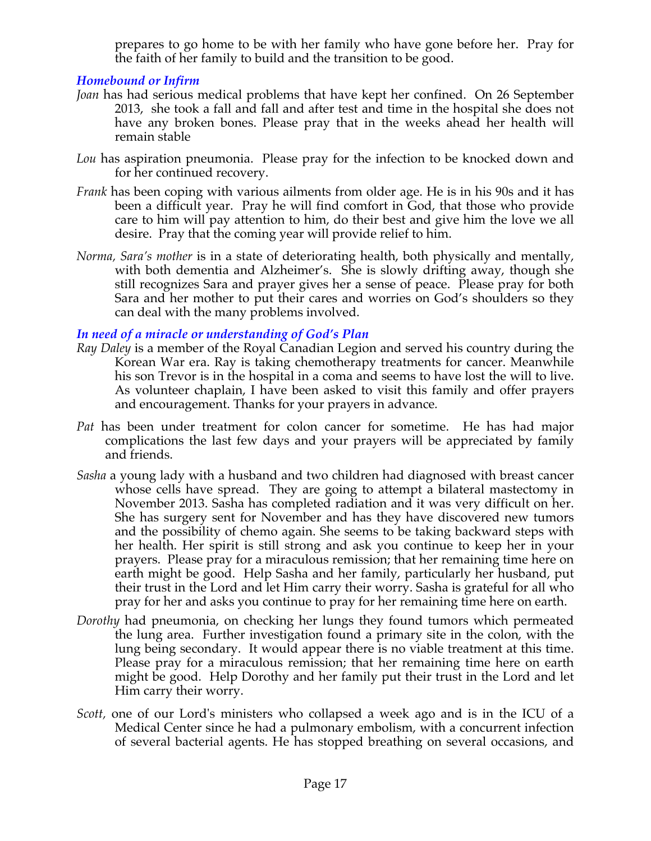prepares to go home to be with her family who have gone before her. Pray for the faith of her family to build and the transition to be good.

## *Homebound or Infirm*

- *Joan* has had serious medical problems that have kept her confined. On 26 September 2013, she took a fall and fall and after test and time in the hospital she does not have any broken bones. Please pray that in the weeks ahead her health will remain stable
- *Lou* has aspiration pneumonia. Please pray for the infection to be knocked down and for her continued recovery.
- *Frank* has been coping with various ailments from older age. He is in his 90s and it has been a difficult year. Pray he will find comfort in God, that those who provide care to him will pay attention to him, do their best and give him the love we all desire. Pray that the coming year will provide relief to him.
- *Norma, Sara's mother* is in a state of deteriorating health, both physically and mentally, with both dementia and Alzheimer's. She is slowly drifting away, though she still recognizes Sara and prayer gives her a sense of peace. Please pray for both Sara and her mother to put their cares and worries on God's shoulders so they can deal with the many problems involved.

# *In need of a miracle or understanding of God's Plan*

- *Ray Daley* is a member of the Royal Canadian Legion and served his country during the Korean War era. Ray is taking chemotherapy treatments for cancer. Meanwhile his son Trevor is in the hospital in a coma and seems to have lost the will to live. As volunteer chaplain, I have been asked to visit this family and offer prayers and encouragement. Thanks for your prayers in advance*.*
- *Pat* has been under treatment for colon cancer for sometime. He has had major complications the last few days and your prayers will be appreciated by family and friends.
- *Sasha* a young lady with a husband and two children had diagnosed with breast cancer whose cells have spread. They are going to attempt a bilateral mastectomy in November 2013. Sasha has completed radiation and it was very difficult on her. She has surgery sent for November and has they have discovered new tumors and the possibility of chemo again. She seems to be taking backward steps with her health. Her spirit is still strong and ask you continue to keep her in your prayers. Please pray for a miraculous remission; that her remaining time here on earth might be good. Help Sasha and her family, particularly her husband, put their trust in the Lord and let Him carry their worry. Sasha is grateful for all who pray for her and asks you continue to pray for her remaining time here on earth.
- *Dorothy* had pneumonia, on checking her lungs they found tumors which permeated the lung area. Further investigation found a primary site in the colon, with the lung being secondary. It would appear there is no viable treatment at this time. Please pray for a miraculous remission; that her remaining time here on earth might be good. Help Dorothy and her family put their trust in the Lord and let Him carry their worry.
- *Scott,* one of our Lord's ministers who collapsed a week ago and is in the ICU of a Medical Center since he had a pulmonary embolism, with a concurrent infection of several bacterial agents. He has stopped breathing on several occasions, and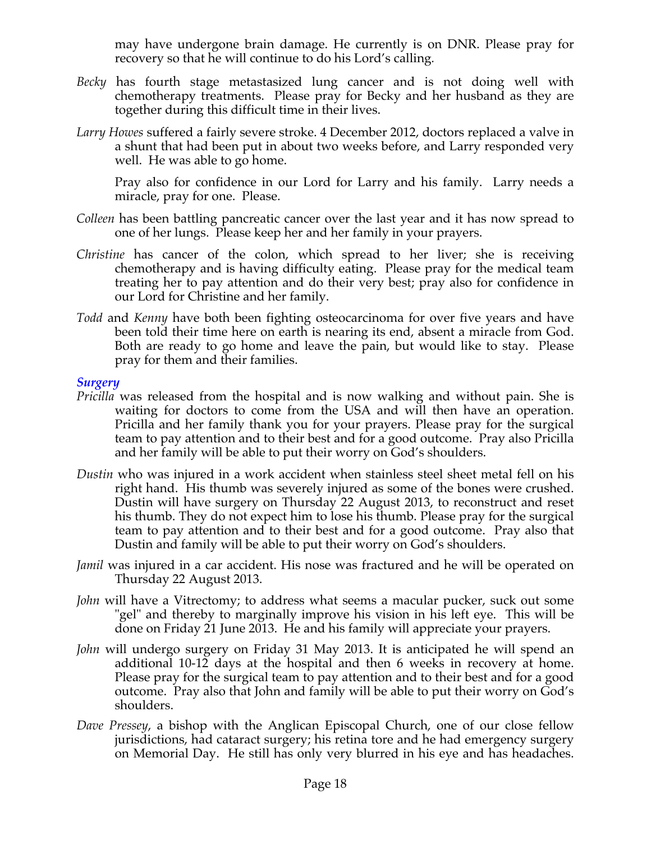may have undergone brain damage. He currently is on DNR. Please pray for recovery so that he will continue to do his Lord's calling*.*

- *Becky* has fourth stage metastasized lung cancer and is not doing well with chemotherapy treatments. Please pray for Becky and her husband as they are together during this difficult time in their lives.
- *Larry Howes* suffered a fairly severe stroke. 4 December 2012, doctors replaced a valve in a shunt that had been put in about two weeks before, and Larry responded very well. He was able to go home.

Pray also for confidence in our Lord for Larry and his family. Larry needs a miracle, pray for one. Please.

- *Colleen* has been battling pancreatic cancer over the last year and it has now spread to one of her lungs. Please keep her and her family in your prayers.
- *Christine* has cancer of the colon, which spread to her liver; she is receiving chemotherapy and is having difficulty eating. Please pray for the medical team treating her to pay attention and do their very best; pray also for confidence in our Lord for Christine and her family.
- *Todd* and *Kenny* have both been fighting osteocarcinoma for over five years and have been told their time here on earth is nearing its end, absent a miracle from God. Both are ready to go home and leave the pain, but would like to stay. Please pray for them and their families.

#### *Surgery*

- *Pricilla* was released from the hospital and is now walking and without pain. She is waiting for doctors to come from the USA and will then have an operation. Pricilla and her family thank you for your prayers. Please pray for the surgical team to pay attention and to their best and for a good outcome. Pray also Pricilla and her family will be able to put their worry on God's shoulders.
- *Dustin* who was injured in a work accident when stainless steel sheet metal fell on his right hand. His thumb was severely injured as some of the bones were crushed. Dustin will have surgery on Thursday 22 August 2013, to reconstruct and reset his thumb. They do not expect him to lose his thumb. Please pray for the surgical team to pay attention and to their best and for a good outcome. Pray also that Dustin and family will be able to put their worry on God's shoulders.
- *Jamil* was injured in a car accident. His nose was fractured and he will be operated on Thursday 22 August 2013.
- *John will have a Vitrectomy; to address what seems a macular pucker, suck out some* "gel" and thereby to marginally improve his vision in his left eye. This will be done on Friday 21 June 2013. He and his family will appreciate your prayers.
- *John* will undergo surgery on Friday 31 May 2013. It is anticipated he will spend an additional 10-12 days at the hospital and then 6 weeks in recovery at home. Please pray for the surgical team to pay attention and to their best and for a good outcome. Pray also that John and family will be able to put their worry on God's shoulders.
- *Dave Pressey*, a bishop with the Anglican Episcopal Church, one of our close fellow jurisdictions, had cataract surgery; his retina tore and he had emergency surgery on Memorial Day. He still has only very blurred in his eye and has headaches.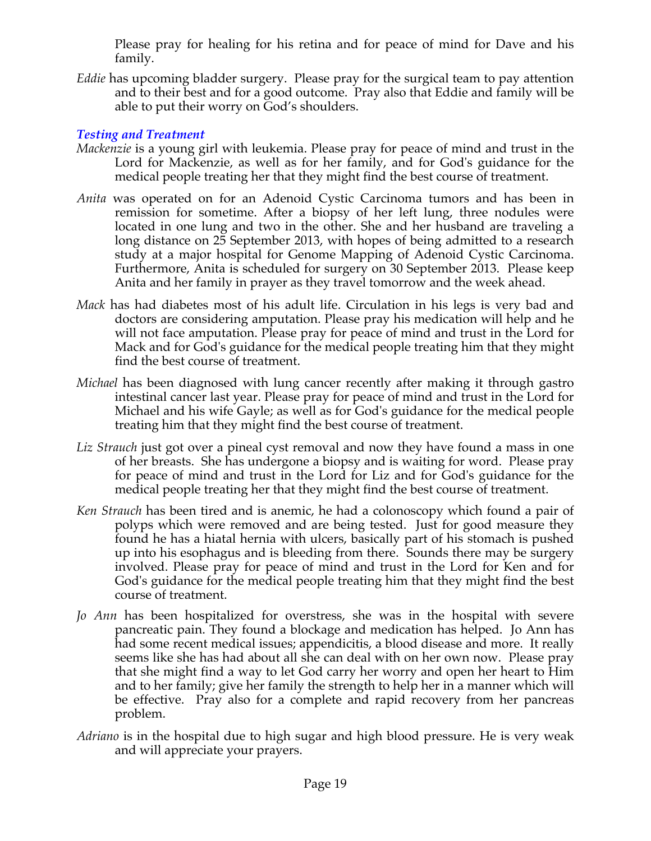Please pray for healing for his retina and for peace of mind for Dave and his family.

*Eddie* has upcoming bladder surgery. Please pray for the surgical team to pay attention and to their best and for a good outcome. Pray also that Eddie and family will be able to put their worry on God's shoulders.

# *Testing and Treatment*

- *Mackenzie* is a young girl with leukemia. Please pray for peace of mind and trust in the Lord for Mackenzie, as well as for her family, and for God's guidance for the medical people treating her that they might find the best course of treatment.
- *Anita* was operated on for an Adenoid Cystic Carcinoma tumors and has been in remission for sometime. After a biopsy of her left lung, three nodules were located in one lung and two in the other. She and her husband are traveling a long distance on 25 September 2013, with hopes of being admitted to a research study at a major hospital for Genome Mapping of Adenoid Cystic Carcinoma. Furthermore, Anita is scheduled for surgery on 30 September 2013. Please keep Anita and her family in prayer as they travel tomorrow and the week ahead.
- *Mack* has had diabetes most of his adult life. Circulation in his legs is very bad and doctors are considering amputation. Please pray his medication will help and he will not face amputation. Please pray for peace of mind and trust in the Lord for Mack and for God's guidance for the medical people treating him that they might find the best course of treatment.
- *Michael* has been diagnosed with lung cancer recently after making it through gastro intestinal cancer last year. Please pray for peace of mind and trust in the Lord for Michael and his wife Gayle; as well as for God's guidance for the medical people treating him that they might find the best course of treatment.
- *Liz Strauch* just got over a pineal cyst removal and now they have found a mass in one of her breasts. She has undergone a biopsy and is waiting for word. Please pray for peace of mind and trust in the Lord for Liz and for God's guidance for the medical people treating her that they might find the best course of treatment.
- *Ken Strauch* has been tired and is anemic, he had a colonoscopy which found a pair of polyps which were removed and are being tested. Just for good measure they found he has a hiatal hernia with ulcers, basically part of his stomach is pushed up into his esophagus and is bleeding from there. Sounds there may be surgery involved. Please pray for peace of mind and trust in the Lord for Ken and for God's guidance for the medical people treating him that they might find the best course of treatment.
- *Jo Ann* has been hospitalized for overstress, she was in the hospital with severe pancreatic pain. They found a blockage and medication has helped. Jo Ann has had some recent medical issues; appendicitis, a blood disease and more. It really seems like she has had about all she can deal with on her own now. Please pray that she might find a way to let God carry her worry and open her heart to Him and to her family; give her family the strength to help her in a manner which will be effective. Pray also for a complete and rapid recovery from her pancreas problem.
- *Adriano* is in the hospital due to high sugar and high blood pressure. He is very weak and will appreciate your prayers.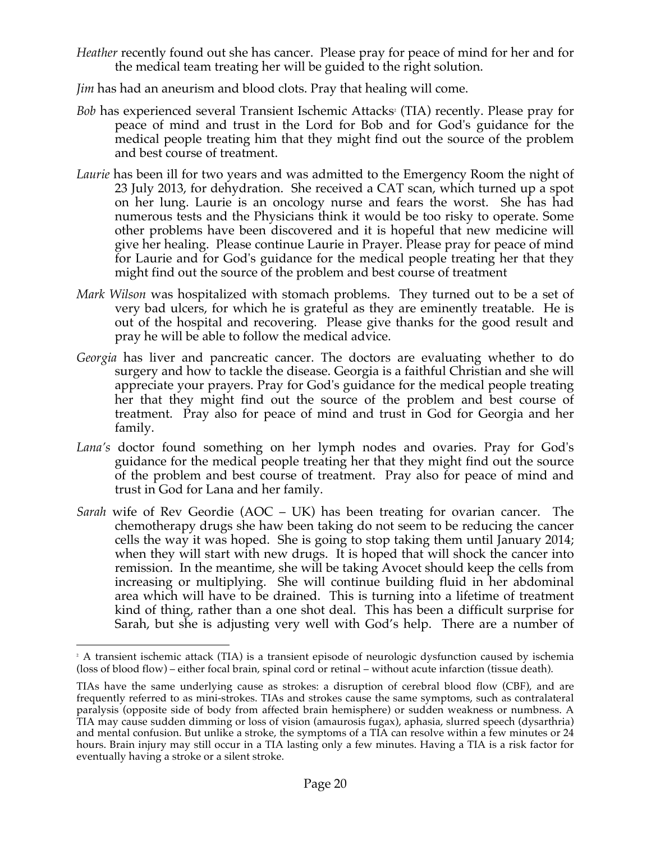- *Heather* recently found out she has cancer. Please pray for peace of mind for her and for the medical team treating her will be guided to the right solution.
- *Jim* has had an aneurism and blood clots. Pray that healing will come.
- *Bob* has experienced several Transient Ischemic Attacks<sup>2</sup> (TIA) recently. Please pray for peace of mind and trust in the Lord for Bob and for God's guidance for the medical people treating him that they might find out the source of the problem and best course of treatment.
- *Laurie* has been ill for two years and was admitted to the Emergency Room the night of 23 July 2013, for dehydration. She received a CAT scan, which turned up a spot on her lung. Laurie is an oncology nurse and fears the worst. She has had numerous tests and the Physicians think it would be too risky to operate. Some other problems have been discovered and it is hopeful that new medicine will give her healing. Please continue Laurie in Prayer. Please pray for peace of mind for Laurie and for God's guidance for the medical people treating her that they might find out the source of the problem and best course of treatment
- *Mark Wilson* was hospitalized with stomach problems. They turned out to be a set of very bad ulcers, for which he is grateful as they are eminently treatable. He is out of the hospital and recovering. Please give thanks for the good result and pray he will be able to follow the medical advice.
- *Georgia* has liver and pancreatic cancer. The doctors are evaluating whether to do surgery and how to tackle the disease. Georgia is a faithful Christian and she will appreciate your prayers. Pray for God's guidance for the medical people treating her that they might find out the source of the problem and best course of treatment. Pray also for peace of mind and trust in God for Georgia and her family.
- *Lana's* doctor found something on her lymph nodes and ovaries. Pray for God's guidance for the medical people treating her that they might find out the source of the problem and best course of treatment. Pray also for peace of mind and trust in God for Lana and her family.
- *Sarah* wife of Rev Geordie (AOC UK) has been treating for ovarian cancer. The chemotherapy drugs she haw been taking do not seem to be reducing the cancer cells the way it was hoped. She is going to stop taking them until January 2014; when they will start with new drugs. It is hoped that will shock the cancer into remission. In the meantime, she will be taking Avocet should keep the cells from increasing or multiplying. She will continue building fluid in her abdominal area which will have to be drained. This is turning into a lifetime of treatment kind of thing, rather than a one shot deal. This has been a difficult surprise for Sarah, but she is adjusting very well with God's help. There are a number of

<sup>&</sup>lt;sup>2</sup> A transient ischemic attack (TIA) is a transient episode of neurologic dysfunction caused by ischemia (loss of blood flow) – either focal brain, spinal cord or retinal – without acute infarction (tissue death).

TIAs have the same underlying cause as strokes: a disruption of cerebral blood flow (CBF), and are frequently referred to as mini-strokes. TIAs and strokes cause the same symptoms, such as contralateral paralysis (opposite side of body from affected brain hemisphere) or sudden weakness or numbness. A TIA may cause sudden dimming or loss of vision (amaurosis fugax), aphasia, slurred speech (dysarthria) and mental confusion. But unlike a stroke, the symptoms of a TIA can resolve within a few minutes or 24 hours. Brain injury may still occur in a TIA lasting only a few minutes. Having a TIA is a risk factor for eventually having a stroke or a silent stroke.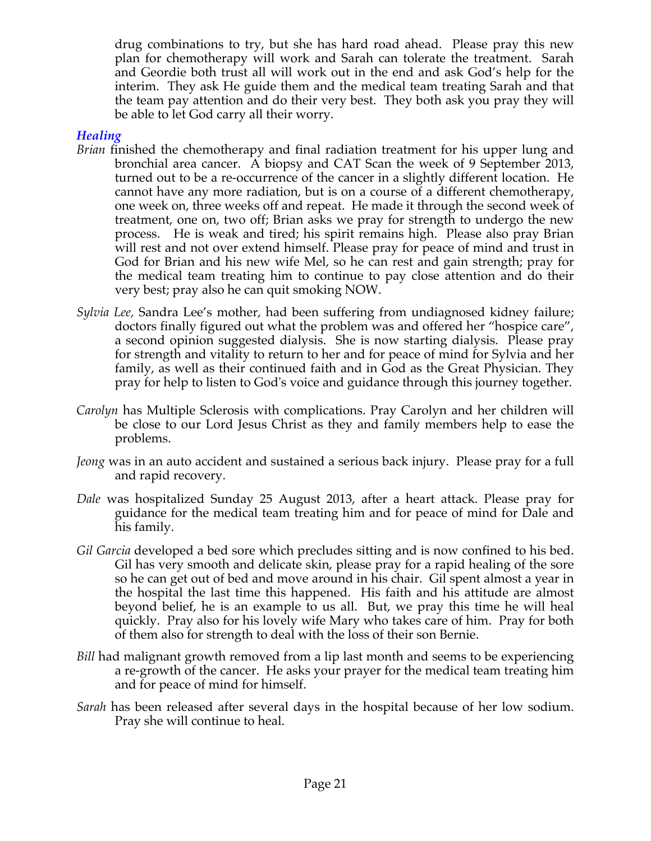drug combinations to try, but she has hard road ahead. Please pray this new plan for chemotherapy will work and Sarah can tolerate the treatment. Sarah and Geordie both trust all will work out in the end and ask God's help for the interim. They ask He guide them and the medical team treating Sarah and that the team pay attention and do their very best. They both ask you pray they will be able to let God carry all their worry.

### *Healing*

- *Brian* finished the chemotherapy and final radiation treatment for his upper lung and bronchial area cancer. A biopsy and CAT Scan the week of 9 September 2013, turned out to be a re-occurrence of the cancer in a slightly different location. He cannot have any more radiation, but is on a course of a different chemotherapy, one week on, three weeks off and repeat. He made it through the second week of treatment, one on, two off; Brian asks we pray for strength to undergo the new process. He is weak and tired; his spirit remains high. Please also pray Brian will rest and not over extend himself. Please pray for peace of mind and trust in God for Brian and his new wife Mel, so he can rest and gain strength; pray for the medical team treating him to continue to pay close attention and do their very best; pray also he can quit smoking NOW.
- *Sylvia Lee,* Sandra Lee's mother, had been suffering from undiagnosed kidney failure; doctors finally figured out what the problem was and offered her "hospice care", a second opinion suggested dialysis. She is now starting dialysis. Please pray for strength and vitality to return to her and for peace of mind for Sylvia and her family, as well as their continued faith and in God as the Great Physician. They pray for help to listen to God's voice and guidance through this journey together.
- *Carolyn* has Multiple Sclerosis with complications. Pray Carolyn and her children will be close to our Lord Jesus Christ as they and family members help to ease the problems.
- *Jeong* was in an auto accident and sustained a serious back injury. Please pray for a full and rapid recovery.
- *Dale* was hospitalized Sunday 25 August 2013, after a heart attack. Please pray for guidance for the medical team treating him and for peace of mind for Dale and his family.
- *Gil Garcia* developed a bed sore which precludes sitting and is now confined to his bed. Gil has very smooth and delicate skin, please pray for a rapid healing of the sore so he can get out of bed and move around in his chair. Gil spent almost a year in the hospital the last time this happened. His faith and his attitude are almost beyond belief, he is an example to us all. But, we pray this time he will heal quickly. Pray also for his lovely wife Mary who takes care of him. Pray for both of them also for strength to deal with the loss of their son Bernie.
- *Bill* had malignant growth removed from a lip last month and seems to be experiencing a re-growth of the cancer. He asks your prayer for the medical team treating him and for peace of mind for himself.
- *Sarah* has been released after several days in the hospital because of her low sodium. Pray she will continue to heal.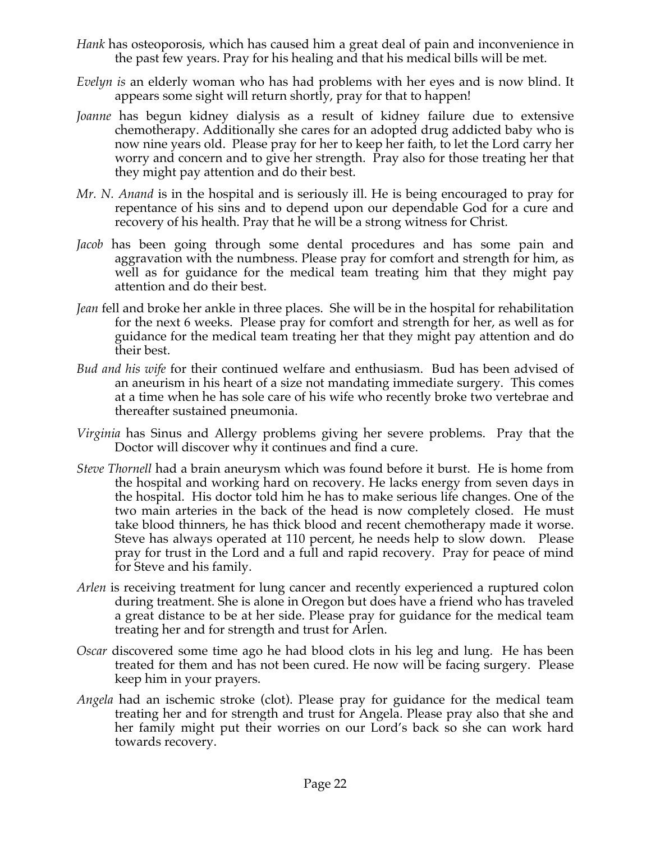- *Hank* has osteoporosis, which has caused him a great deal of pain and inconvenience in the past few years. Pray for his healing and that his medical bills will be met.
- *Evelyn is* an elderly woman who has had problems with her eyes and is now blind. It appears some sight will return shortly, pray for that to happen!
- *Joanne* has begun kidney dialysis as a result of kidney failure due to extensive chemotherapy. Additionally she cares for an adopted drug addicted baby who is now nine years old. Please pray for her to keep her faith, to let the Lord carry her worry and concern and to give her strength. Pray also for those treating her that they might pay attention and do their best.
- *Mr. N. Anand* is in the hospital and is seriously ill. He is being encouraged to pray for repentance of his sins and to depend upon our dependable God for a cure and recovery of his health. Pray that he will be a strong witness for Christ.
- *Jacob* has been going through some dental procedures and has some pain and aggravation with the numbness. Please pray for comfort and strength for him, as well as for guidance for the medical team treating him that they might pay attention and do their best.
- *Jean* fell and broke her ankle in three places. She will be in the hospital for rehabilitation for the next 6 weeks. Please pray for comfort and strength for her, as well as for guidance for the medical team treating her that they might pay attention and do their best.
- *Bud and his wife* for their continued welfare and enthusiasm. Bud has been advised of an aneurism in his heart of a size not mandating immediate surgery. This comes at a time when he has sole care of his wife who recently broke two vertebrae and thereafter sustained pneumonia.
- *Virginia* has Sinus and Allergy problems giving her severe problems. Pray that the Doctor will discover why it continues and find a cure.
- *Steve Thornell* had a brain aneurysm which was found before it burst. He is home from the hospital and working hard on recovery. He lacks energy from seven days in the hospital. His doctor told him he has to make serious life changes. One of the two main arteries in the back of the head is now completely closed. He must take blood thinners, he has thick blood and recent chemotherapy made it worse. Steve has always operated at 110 percent, he needs help to slow down. Please pray for trust in the Lord and a full and rapid recovery. Pray for peace of mind for Steve and his family.
- *Arlen* is receiving treatment for lung cancer and recently experienced a ruptured colon during treatment. She is alone in Oregon but does have a friend who has traveled a great distance to be at her side. Please pray for guidance for the medical team treating her and for strength and trust for Arlen.
- *Oscar* discovered some time ago he had blood clots in his leg and lung. He has been treated for them and has not been cured. He now will be facing surgery. Please keep him in your prayers.
- *Angela* had an ischemic stroke (clot). Please pray for guidance for the medical team treating her and for strength and trust for Angela. Please pray also that she and her family might put their worries on our Lord's back so she can work hard towards recovery.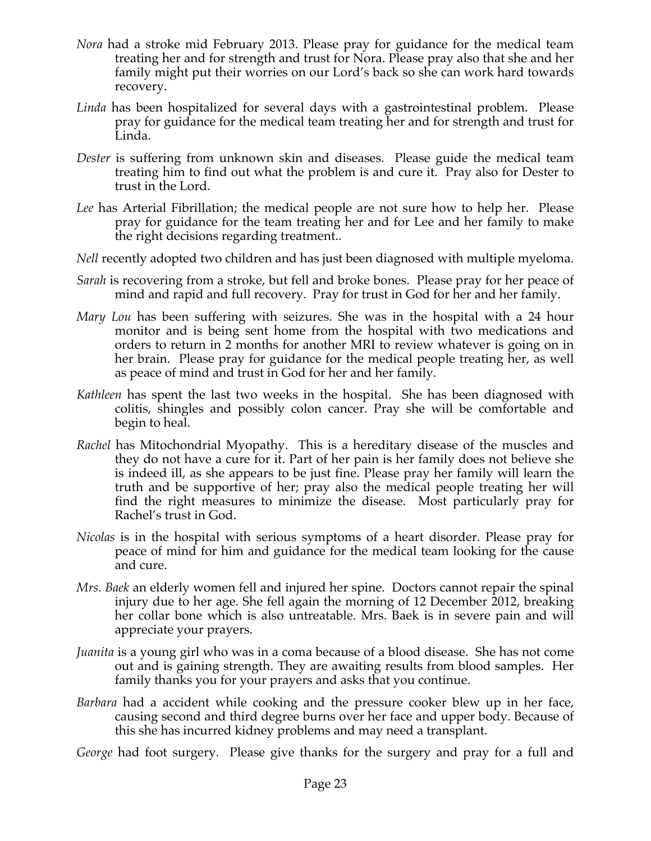- *Nora* had a stroke mid February 2013. Please pray for guidance for the medical team treating her and for strength and trust for Nora. Please pray also that she and her family might put their worries on our Lord's back so she can work hard towards recovery.
- *Linda* has been hospitalized for several days with a gastrointestinal problem. Please pray for guidance for the medical team treating her and for strength and trust for Linda.
- *Dester* is suffering from unknown skin and diseases. Please guide the medical team treating him to find out what the problem is and cure it. Pray also for Dester to trust in the Lord.
- *Lee* has Arterial Fibrillation; the medical people are not sure how to help her. Please pray for guidance for the team treating her and for Lee and her family to make the right decisions regarding treatment..
- *Nell* recently adopted two children and has just been diagnosed with multiple myeloma.
- *Sarah* is recovering from a stroke, but fell and broke bones. Please pray for her peace of mind and rapid and full recovery. Pray for trust in God for her and her family.
- *Mary Lou* has been suffering with seizures. She was in the hospital with a 24 hour monitor and is being sent home from the hospital with two medications and orders to return in 2 months for another MRI to review whatever is going on in her brain. Please pray for guidance for the medical people treating her, as well as peace of mind and trust in God for her and her family.
- *Kathleen* has spent the last two weeks in the hospital. She has been diagnosed with colitis, shingles and possibly colon cancer. Pray she will be comfortable and begin to heal.
- *Rachel* has Mitochondrial Myopathy. This is a hereditary disease of the muscles and they do not have a cure for it. Part of her pain is her family does not believe she is indeed ill, as she appears to be just fine. Please pray her family will learn the truth and be supportive of her; pray also the medical people treating her will find the right measures to minimize the disease. Most particularly pray for Rachel's trust in God.
- *Nicolas* is in the hospital with serious symptoms of a heart disorder. Please pray for peace of mind for him and guidance for the medical team looking for the cause and cure.
- *Mrs. Baek* an elderly women fell and injured her spine. Doctors cannot repair the spinal injury due to her age. She fell again the morning of 12 December 2012, breaking her collar bone which is also untreatable. Mrs. Baek is in severe pain and will appreciate your prayers.
- *Juanita* is a young girl who was in a coma because of a blood disease. She has not come out and is gaining strength. They are awaiting results from blood samples. Her family thanks you for your prayers and asks that you continue.
- *Barbara* had a accident while cooking and the pressure cooker blew up in her face, causing second and third degree burns over her face and upper body. Because of this she has incurred kidney problems and may need a transplant.

*George* had foot surgery. Please give thanks for the surgery and pray for a full and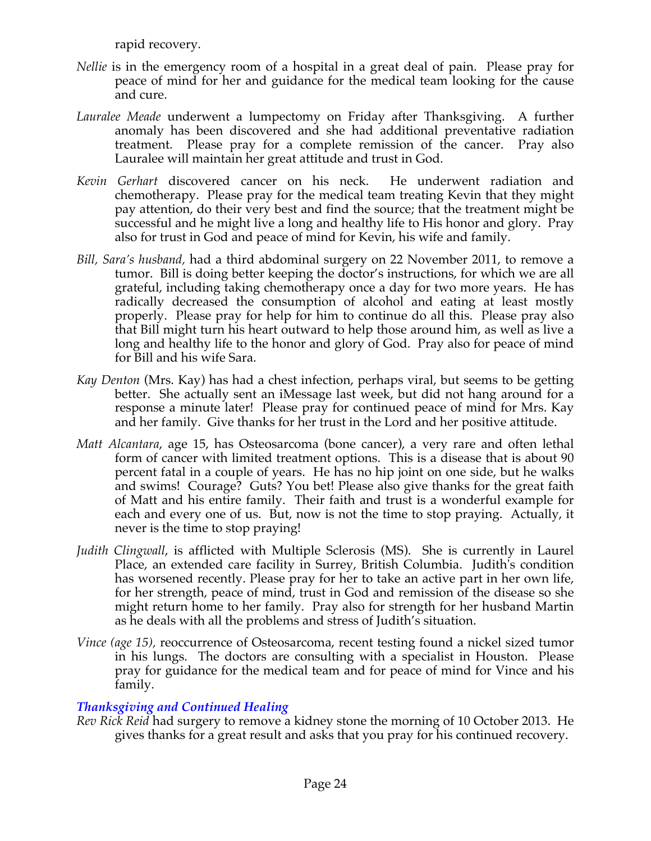rapid recovery.

- *Nellie* is in the emergency room of a hospital in a great deal of pain. Please pray for peace of mind for her and guidance for the medical team looking for the cause and cure.
- *Lauralee Meade* underwent a lumpectomy on Friday after Thanksgiving. A further anomaly has been discovered and she had additional preventative radiation treatment. Please pray for a complete remission of the cancer. Pray also Lauralee will maintain her great attitude and trust in God.
- *Kevin Gerhart* discovered cancer on his neck. He underwent radiation and chemotherapy. Please pray for the medical team treating Kevin that they might pay attention, do their very best and find the source; that the treatment might be successful and he might live a long and healthy life to His honor and glory. Pray also for trust in God and peace of mind for Kevin, his wife and family.
- *Bill, Sara's husband,* had a third abdominal surgery on 22 November 2011, to remove a tumor. Bill is doing better keeping the doctor's instructions, for which we are all grateful, including taking chemotherapy once a day for two more years. He has radically decreased the consumption of alcohol and eating at least mostly properly. Please pray for help for him to continue do all this. Please pray also that Bill might turn his heart outward to help those around him, as well as live a long and healthy life to the honor and glory of God. Pray also for peace of mind for Bill and his wife Sara.
- *Kay Denton* (Mrs. Kay) has had a chest infection, perhaps viral, but seems to be getting better. She actually sent an iMessage last week, but did not hang around for a response a minute later! Please pray for continued peace of mind for Mrs. Kay and her family. Give thanks for her trust in the Lord and her positive attitude.
- *Matt Alcantara*, age 15, has Osteosarcoma (bone cancer), a very rare and often lethal form of cancer with limited treatment options. This is a disease that is about 90 percent fatal in a couple of years. He has no hip joint on one side, but he walks and swims! Courage? Guts? You bet! Please also give thanks for the great faith of Matt and his entire family. Their faith and trust is a wonderful example for each and every one of us. But, now is not the time to stop praying. Actually, it never is the time to stop praying!
- *Judith Clingwall*, is afflicted with Multiple Sclerosis (MS). She is currently in Laurel Place, an extended care facility in Surrey, British Columbia. Judith's condition has worsened recently. Please pray for her to take an active part in her own life, for her strength, peace of mind, trust in God and remission of the disease so she might return home to her family. Pray also for strength for her husband Martin as he deals with all the problems and stress of Judith's situation.
- *Vince (age 15),* reoccurrence of Osteosarcoma, recent testing found a nickel sized tumor in his lungs. The doctors are consulting with a specialist in Houston. Please pray for guidance for the medical team and for peace of mind for Vince and his family.

## *Thanksgiving and Continued Healing*

*Rev Rick Reid* had surgery to remove a kidney stone the morning of 10 October 2013. He gives thanks for a great result and asks that you pray for his continued recovery.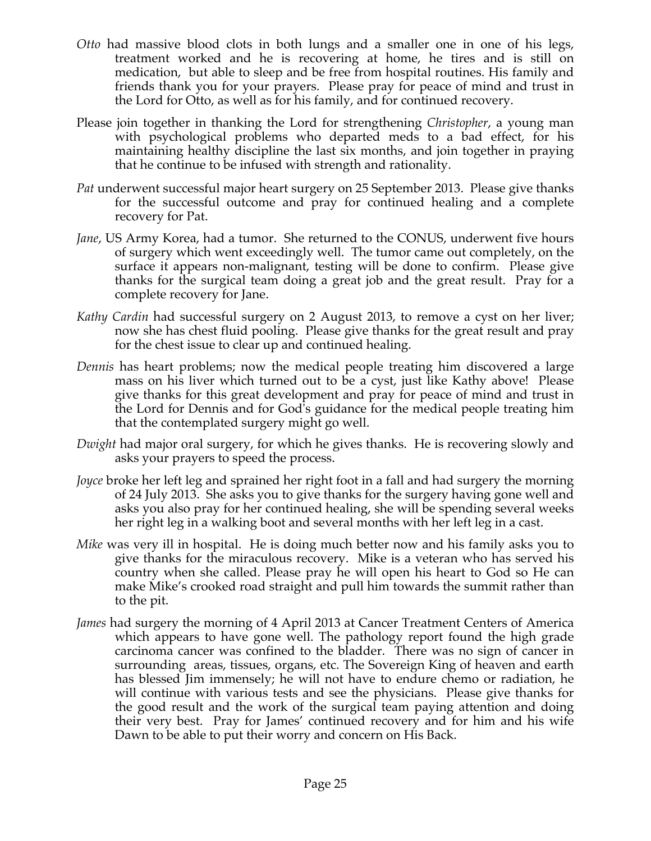- *Otto* had massive blood clots in both lungs and a smaller one in one of his legs, treatment worked and he is recovering at home, he tires and is still on medication, but able to sleep and be free from hospital routines. His family and friends thank you for your prayers. Please pray for peace of mind and trust in the Lord for Otto, as well as for his family, and for continued recovery.
- Please join together in thanking the Lord for strengthening *Christopher*, a young man with psychological problems who departed meds to a bad effect, for his maintaining healthy discipline the last six months, and join together in praying that he continue to be infused with strength and rationality.
- *Pat* underwent successful major heart surgery on 25 September 2013. Please give thanks for the successful outcome and pray for continued healing and a complete recovery for Pat.
- *Jane*, US Army Korea, had a tumor. She returned to the CONUS, underwent five hours of surgery which went exceedingly well. The tumor came out completely, on the surface it appears non-malignant, testing will be done to confirm. Please give thanks for the surgical team doing a great job and the great result. Pray for a complete recovery for Jane.
- *Kathy Cardin* had successful surgery on 2 August 2013, to remove a cyst on her liver; now she has chest fluid pooling. Please give thanks for the great result and pray for the chest issue to clear up and continued healing.
- *Dennis* has heart problems; now the medical people treating him discovered a large mass on his liver which turned out to be a cyst, just like Kathy above! Please give thanks for this great development and pray for peace of mind and trust in the Lord for Dennis and for God's guidance for the medical people treating him that the contemplated surgery might go well.
- *Dwight* had major oral surgery, for which he gives thanks. He is recovering slowly and asks your prayers to speed the process.
- *Joyce* broke her left leg and sprained her right foot in a fall and had surgery the morning of 24 July 2013. She asks you to give thanks for the surgery having gone well and asks you also pray for her continued healing, she will be spending several weeks her right leg in a walking boot and several months with her left leg in a cast.
- *Mike* was very ill in hospital. He is doing much better now and his family asks you to give thanks for the miraculous recovery. Mike is a veteran who has served his country when she called. Please pray he will open his heart to God so He can make Mike's crooked road straight and pull him towards the summit rather than to the pit.
- *James* had surgery the morning of 4 April 2013 at Cancer Treatment Centers of America which appears to have gone well. The pathology report found the high grade carcinoma cancer was confined to the bladder. There was no sign of cancer in surrounding areas, tissues, organs, etc. The Sovereign King of heaven and earth has blessed Jim immensely; he will not have to endure chemo or radiation, he will continue with various tests and see the physicians. Please give thanks for the good result and the work of the surgical team paying attention and doing their very best. Pray for James' continued recovery and for him and his wife Dawn to be able to put their worry and concern on His Back.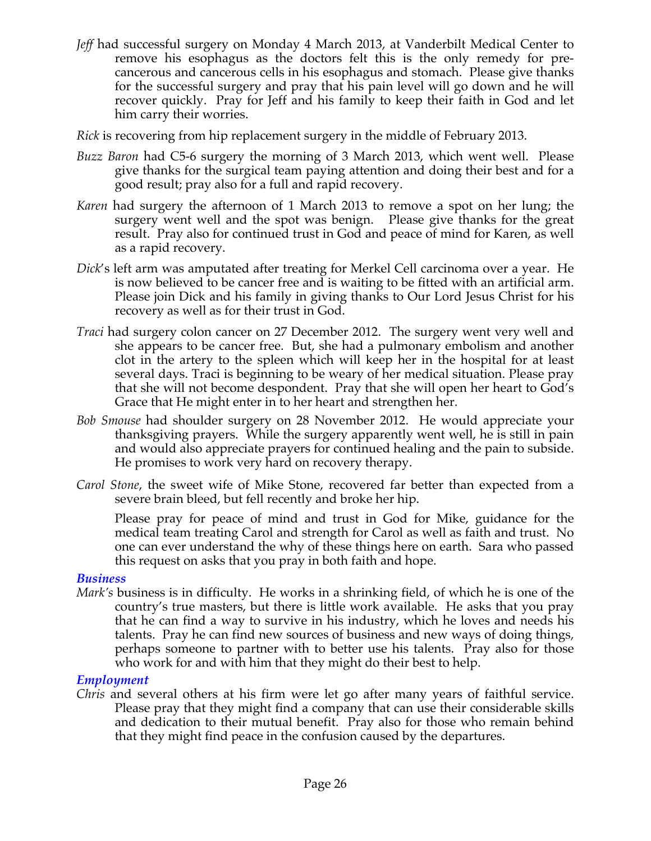- *Jeff* had successful surgery on Monday 4 March 2013, at Vanderbilt Medical Center to remove his esophagus as the doctors felt this is the only remedy for precancerous and cancerous cells in his esophagus and stomach. Please give thanks for the successful surgery and pray that his pain level will go down and he will recover quickly. Pray for Jeff and his family to keep their faith in God and let him carry their worries.
- *Rick* is recovering from hip replacement surgery in the middle of February 2013.
- *Buzz Baron* had C5-6 surgery the morning of 3 March 2013, which went well. Please give thanks for the surgical team paying attention and doing their best and for a good result; pray also for a full and rapid recovery.
- *Karen* had surgery the afternoon of 1 March 2013 to remove a spot on her lung; the surgery went well and the spot was benign. Please give thanks for the great result. Pray also for continued trust in God and peace of mind for Karen, as well as a rapid recovery.
- *Dick*'s left arm was amputated after treating for Merkel Cell carcinoma over a year. He is now believed to be cancer free and is waiting to be fitted with an artificial arm. Please join Dick and his family in giving thanks to Our Lord Jesus Christ for his recovery as well as for their trust in God.
- *Traci* had surgery colon cancer on 27 December 2012. The surgery went very well and she appears to be cancer free. But, she had a pulmonary embolism and another clot in the artery to the spleen which will keep her in the hospital for at least several days. Traci is beginning to be weary of her medical situation. Please pray that she will not become despondent. Pray that she will open her heart to God's Grace that He might enter in to her heart and strengthen her.
- *Bob Smouse* had shoulder surgery on 28 November 2012. He would appreciate your thanksgiving prayers. While the surgery apparently went well, he is still in pain and would also appreciate prayers for continued healing and the pain to subside. He promises to work very hard on recovery therapy.
- *Carol Stone*, the sweet wife of Mike Stone, recovered far better than expected from a severe brain bleed, but fell recently and broke her hip.

Please pray for peace of mind and trust in God for Mike, guidance for the medical team treating Carol and strength for Carol as well as faith and trust. No one can ever understand the why of these things here on earth. Sara who passed this request on asks that you pray in both faith and hope.

#### *Business*

*Mark's* business is in difficulty. He works in a shrinking field, of which he is one of the country's true masters, but there is little work available. He asks that you pray that he can find a way to survive in his industry, which he loves and needs his talents. Pray he can find new sources of business and new ways of doing things, perhaps someone to partner with to better use his talents. Pray also for those who work for and with him that they might do their best to help.

#### *Employment*

*Chris* and several others at his firm were let go after many years of faithful service. Please pray that they might find a company that can use their considerable skills and dedication to their mutual benefit. Pray also for those who remain behind that they might find peace in the confusion caused by the departures.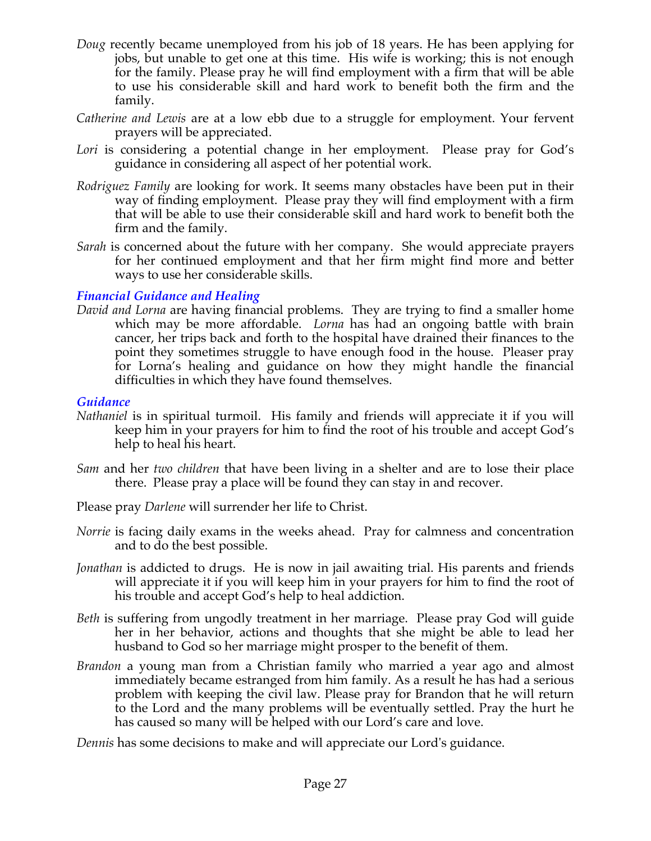- *Doug* recently became unemployed from his job of 18 years. He has been applying for jobs, but unable to get one at this time. His wife is working; this is not enough for the family. Please pray he will find employment with a firm that will be able to use his considerable skill and hard work to benefit both the firm and the family.
- *Catherine and Lewis* are at a low ebb due to a struggle for employment. Your fervent prayers will be appreciated.
- Lori is considering a potential change in her employment. Please pray for God's guidance in considering all aspect of her potential work.
- *Rodriguez Family* are looking for work. It seems many obstacles have been put in their way of finding employment. Please pray they will find employment with a firm that will be able to use their considerable skill and hard work to benefit both the firm and the family.
- *Sarah* is concerned about the future with her company. She would appreciate prayers for her continued employment and that her firm might find more and better ways to use her considerable skills.

### *Financial Guidance and Healing*

*David and Lorna* are having financial problems. They are trying to find a smaller home which may be more affordable. *Lorna* has had an ongoing battle with brain cancer, her trips back and forth to the hospital have drained their finances to the point they sometimes struggle to have enough food in the house. Pleaser pray for Lorna's healing and guidance on how they might handle the financial difficulties in which they have found themselves.

#### *Guidance*

- *Nathaniel* is in spiritual turmoil. His family and friends will appreciate it if you will keep him in your prayers for him to find the root of his trouble and accept God's help to heal his heart.
- *Sam* and her *two children* that have been living in a shelter and are to lose their place there. Please pray a place will be found they can stay in and recover.
- Please pray *Darlene* will surrender her life to Christ.
- *Norrie* is facing daily exams in the weeks ahead. Pray for calmness and concentration and to do the best possible.
- *Jonathan* is addicted to drugs. He is now in jail awaiting trial. His parents and friends will appreciate it if you will keep him in your prayers for him to find the root of his trouble and accept God's help to heal addiction.
- *Beth* is suffering from ungodly treatment in her marriage. Please pray God will guide her in her behavior, actions and thoughts that she might be able to lead her husband to God so her marriage might prosper to the benefit of them.
- *Brandon* a young man from a Christian family who married a year ago and almost immediately became estranged from him family. As a result he has had a serious problem with keeping the civil law. Please pray for Brandon that he will return to the Lord and the many problems will be eventually settled. Pray the hurt he has caused so many will be helped with our Lord's care and love.

*Dennis* has some decisions to make and will appreciate our Lord's guidance.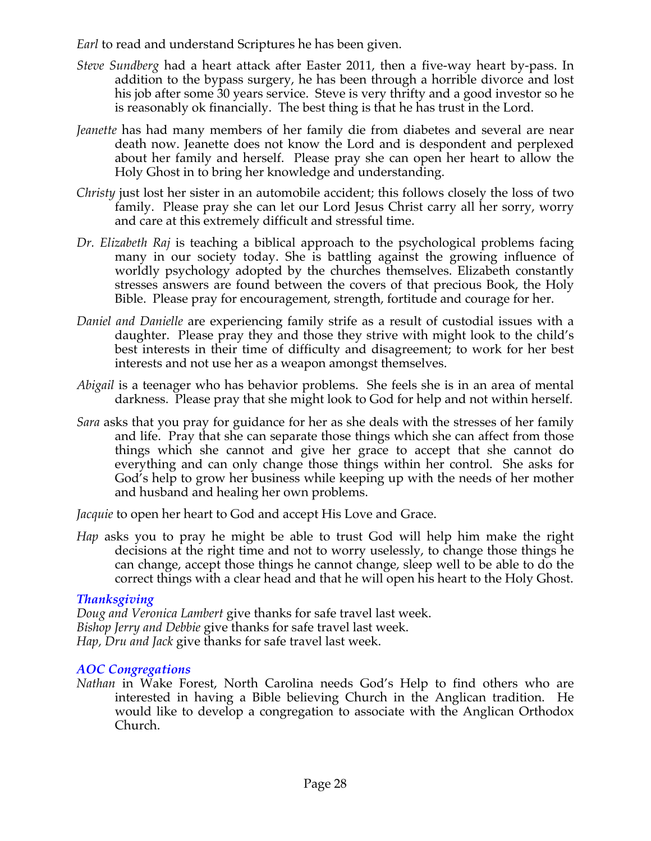*Earl* to read and understand Scriptures he has been given.

- *Steve Sundberg* had a heart attack after Easter 2011, then a five-way heart by-pass. In addition to the bypass surgery, he has been through a horrible divorce and lost his job after some 30 years service. Steve is very thrifty and a good investor so he is reasonably ok financially. The best thing is that he has trust in the Lord.
- *Jeanette* has had many members of her family die from diabetes and several are near death now. Jeanette does not know the Lord and is despondent and perplexed about her family and herself. Please pray she can open her heart to allow the Holy Ghost in to bring her knowledge and understanding.
- *Christy* just lost her sister in an automobile accident; this follows closely the loss of two family. Please pray she can let our Lord Jesus Christ carry all her sorry, worry and care at this extremely difficult and stressful time.
- *Dr. Elizabeth Raj* is teaching a biblical approach to the psychological problems facing many in our society today. She is battling against the growing influence of worldly psychology adopted by the churches themselves. Elizabeth constantly stresses answers are found between the covers of that precious Book, the Holy Bible. Please pray for encouragement, strength, fortitude and courage for her.
- *Daniel and Danielle* are experiencing family strife as a result of custodial issues with a daughter. Please pray they and those they strive with might look to the child's best interests in their time of difficulty and disagreement; to work for her best interests and not use her as a weapon amongst themselves.
- *Abigail* is a teenager who has behavior problems. She feels she is in an area of mental darkness. Please pray that she might look to God for help and not within herself.
- *Sara* asks that you pray for guidance for her as she deals with the stresses of her family and life. Pray that she can separate those things which she can affect from those things which she cannot and give her grace to accept that she cannot do everything and can only change those things within her control. She asks for God's help to grow her business while keeping up with the needs of her mother and husband and healing her own problems.

*Jacquie* to open her heart to God and accept His Love and Grace.

*Hap* asks you to pray he might be able to trust God will help him make the right decisions at the right time and not to worry uselessly, to change those things he can change, accept those things he cannot change, sleep well to be able to do the correct things with a clear head and that he will open his heart to the Holy Ghost.

## *Thanksgiving*

*Doug and Veronica Lambert* give thanks for safe travel last week. *Bishop Jerry and Debbie* give thanks for safe travel last week. *Hap, Dru and Jack* give thanks for safe travel last week.

## *AOC Congregations*

*Nathan* in Wake Forest, North Carolina needs God's Help to find others who are interested in having a Bible believing Church in the Anglican tradition. He would like to develop a congregation to associate with the Anglican Orthodox Church.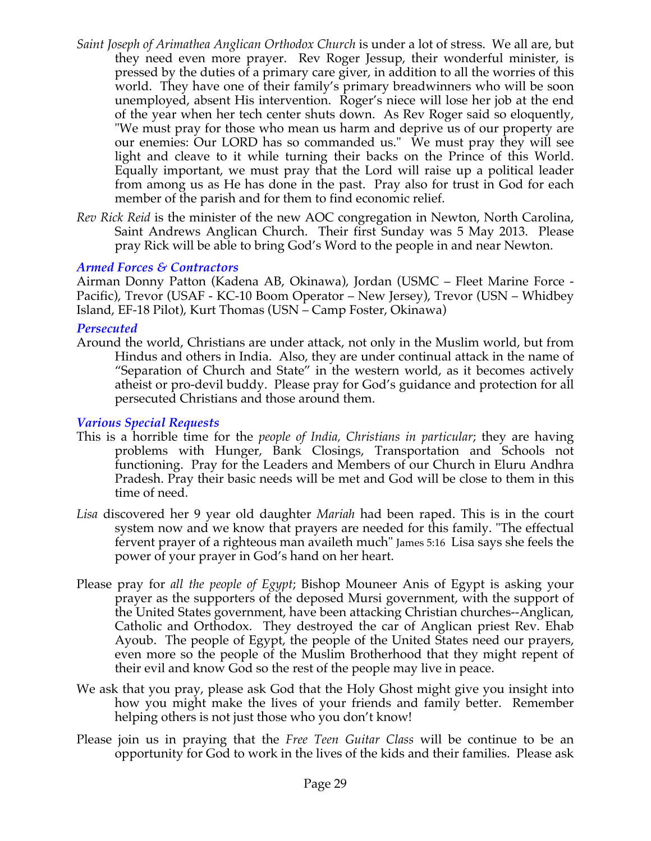- *Saint Joseph of Arimathea Anglican Orthodox Church* is under a lot of stress. We all are, but they need even more prayer. Rev Roger Jessup, their wonderful minister, is pressed by the duties of a primary care giver, in addition to all the worries of this world. They have one of their family's primary breadwinners who will be soon unemployed, absent His intervention. Roger's niece will lose her job at the end of the year when her tech center shuts down. As Rev Roger said so eloquently, "We must pray for those who mean us harm and deprive us of our property are our enemies: Our LORD has so commanded us." We must pray they will see light and cleave to it while turning their backs on the Prince of this World. Equally important, we must pray that the Lord will raise up a political leader from among us as He has done in the past. Pray also for trust in God for each member of the parish and for them to find economic relief.
- *Rev Rick Reid* is the minister of the new AOC congregation in Newton, North Carolina, Saint Andrews Anglican Church. Their first Sunday was 5 May 2013. Please pray Rick will be able to bring God's Word to the people in and near Newton.

#### *Armed Forces & Contractors*

Airman Donny Patton (Kadena AB, Okinawa), Jordan (USMC – Fleet Marine Force - Pacific), Trevor (USAF - KC-10 Boom Operator – New Jersey), Trevor (USN – Whidbey Island, EF-18 Pilot), Kurt Thomas (USN – Camp Foster, Okinawa)

#### *Persecuted*

Around the world, Christians are under attack, not only in the Muslim world, but from Hindus and others in India. Also, they are under continual attack in the name of "Separation of Church and State" in the western world, as it becomes actively atheist or pro-devil buddy. Please pray for God's guidance and protection for all persecuted Christians and those around them.

#### *Various Special Requests*

- This is a horrible time for the *people of India, Christians in particular*; they are having problems with Hunger, Bank Closings, Transportation and Schools not functioning. Pray for the Leaders and Members of our Church in Eluru Andhra Pradesh. Pray their basic needs will be met and God will be close to them in this time of need.
- *Lisa* discovered her 9 year old daughter *Mariah* had been raped. This is in the court system now and we know that prayers are needed for this family. "The effectual fervent prayer of a righteous man availeth much" James 5:16 Lisa says she feels the power of your prayer in God's hand on her heart.
- Please pray for *all the people of Egypt*; Bishop Mouneer Anis of Egypt is asking your prayer as the supporters of the deposed Mursi government, with the support of the United States government, have been attacking Christian churches--Anglican, Catholic and Orthodox. They destroyed the car of Anglican priest Rev. Ehab Ayoub. The people of Egypt, the people of the United States need our prayers, even more so the people of the Muslim Brotherhood that they might repent of their evil and know God so the rest of the people may live in peace.
- We ask that you pray, please ask God that the Holy Ghost might give you insight into how you might make the lives of your friends and family better. Remember helping others is not just those who you don't know!
- Please join us in praying that the *Free Teen Guitar Class* will be continue to be an opportunity for God to work in the lives of the kids and their families. Please ask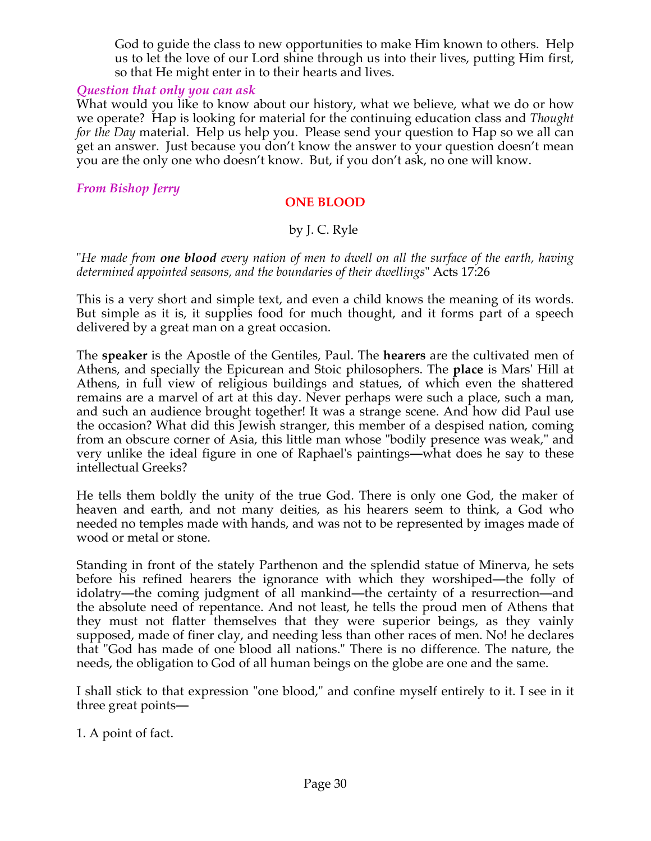God to guide the class to new opportunities to make Him known to others. Help us to let the love of our Lord shine through us into their lives, putting Him first, so that He might enter in to their hearts and lives.

### *Question that only you can ask*

What would you like to know about our history, what we believe, what we do or how we operate? Hap is looking for material for the continuing education class and *Thought for the Day* material. Help us help you. Please send your question to Hap so we all can get an answer. Just because you don't know the answer to your question doesn't mean you are the only one who doesn't know. But, if you don't ask, no one will know.

### *From Bishop Jerry*

## **ONE BLOOD**

## by J. C. Ryle

"*He made from one blood every nation of men to dwell on all the surface of the earth, having determined appointed seasons, and the boundaries of their dwellings*" Acts 17:26

This is a very short and simple text, and even a child knows the meaning of its words. But simple as it is, it supplies food for much thought, and it forms part of a speech delivered by a great man on a great occasion.

The **speaker** is the Apostle of the Gentiles, Paul. The **hearers** are the cultivated men of Athens, and specially the Epicurean and Stoic philosophers. The **place** is Mars' Hill at Athens, in full view of religious buildings and statues, of which even the shattered remains are a marvel of art at this day. Never perhaps were such a place, such a man, and such an audience brought together! It was a strange scene. And how did Paul use the occasion? What did this Jewish stranger, this member of a despised nation, coming from an obscure corner of Asia, this little man whose "bodily presence was weak," and very unlike the ideal figure in one of Raphael's paintings**—**what does he say to these intellectual Greeks?

He tells them boldly the unity of the true God. There is only one God, the maker of heaven and earth, and not many deities, as his hearers seem to think, a God who needed no temples made with hands, and was not to be represented by images made of wood or metal or stone.

Standing in front of the stately Parthenon and the splendid statue of Minerva, he sets before his refined hearers the ignorance with which they worshiped**—**the folly of idolatry**—**the coming judgment of all mankind**—**the certainty of a resurrection**—**and the absolute need of repentance. And not least, he tells the proud men of Athens that they must not flatter themselves that they were superior beings, as they vainly supposed, made of finer clay, and needing less than other races of men. No! he declares that "God has made of one blood all nations." There is no difference. The nature, the needs, the obligation to God of all human beings on the globe are one and the same.

I shall stick to that expression "one blood," and confine myself entirely to it. I see in it three great points**—**

#### 1. A point of fact.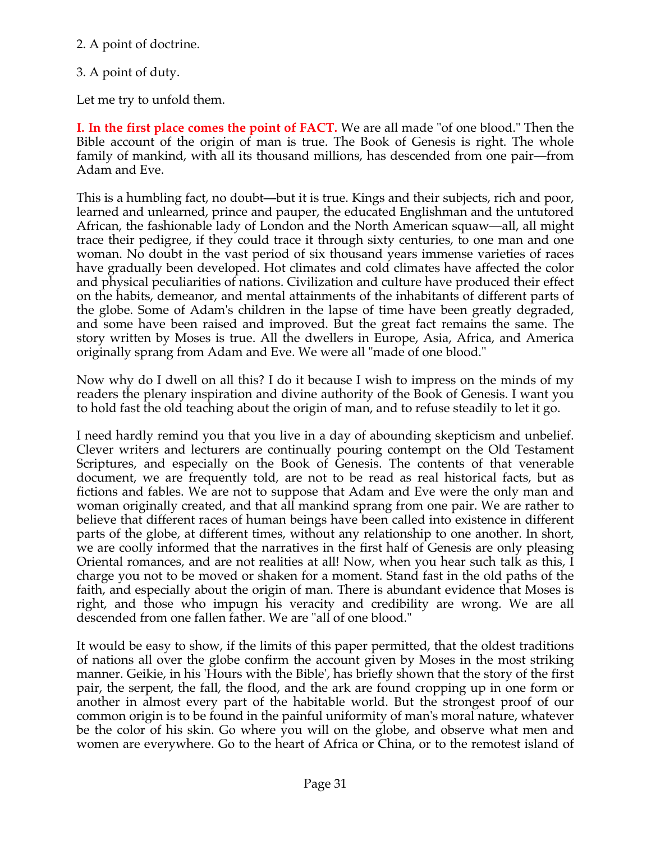# 2. A point of doctrine.

# 3. A point of duty.

Let me try to unfold them.

**I. In the first place comes the point of FACT.** We are all made "of one blood." Then the Bible account of the origin of man is true. The Book of Genesis is right. The whole family of mankind, with all its thousand millions, has descended from one pair—from Adam and Eve.

This is a humbling fact, no doubt**—**but it is true. Kings and their subjects, rich and poor, learned and unlearned, prince and pauper, the educated Englishman and the untutored African, the fashionable lady of London and the North American squaw—all, all might trace their pedigree, if they could trace it through sixty centuries, to one man and one woman. No doubt in the vast period of six thousand years immense varieties of races have gradually been developed. Hot climates and cold climates have affected the color and physical peculiarities of nations. Civilization and culture have produced their effect on the habits, demeanor, and mental attainments of the inhabitants of different parts of the globe. Some of Adam's children in the lapse of time have been greatly degraded, and some have been raised and improved. But the great fact remains the same. The story written by Moses is true. All the dwellers in Europe, Asia, Africa, and America originally sprang from Adam and Eve. We were all "made of one blood."

Now why do I dwell on all this? I do it because I wish to impress on the minds of my readers the plenary inspiration and divine authority of the Book of Genesis. I want you to hold fast the old teaching about the origin of man, and to refuse steadily to let it go.

I need hardly remind you that you live in a day of abounding skepticism and unbelief. Clever writers and lecturers are continually pouring contempt on the Old Testament Scriptures, and especially on the Book of Genesis. The contents of that venerable document, we are frequently told, are not to be read as real historical facts, but as fictions and fables. We are not to suppose that Adam and Eve were the only man and woman originally created, and that all mankind sprang from one pair. We are rather to believe that different races of human beings have been called into existence in different parts of the globe, at different times, without any relationship to one another. In short, we are coolly informed that the narratives in the first half of Genesis are only pleasing Oriental romances, and are not realities at all! Now, when you hear such talk as this, I charge you not to be moved or shaken for a moment. Stand fast in the old paths of the faith, and especially about the origin of man. There is abundant evidence that Moses is right, and those who impugn his veracity and credibility are wrong. We are all descended from one fallen father. We are "all of one blood."

It would be easy to show, if the limits of this paper permitted, that the oldest traditions of nations all over the globe confirm the account given by Moses in the most striking manner. Geikie, in his 'Hours with the Bible', has briefly shown that the story of the first pair, the serpent, the fall, the flood, and the ark are found cropping up in one form or another in almost every part of the habitable world. But the strongest proof of our common origin is to be found in the painful uniformity of man's moral nature, whatever be the color of his skin. Go where you will on the globe, and observe what men and women are everywhere. Go to the heart of Africa or China, or to the remotest island of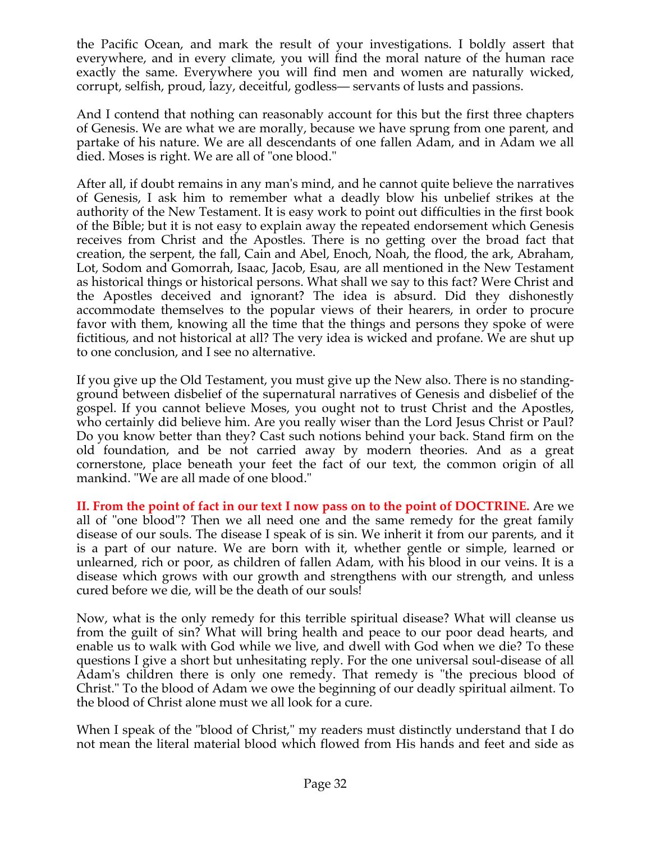the Pacific Ocean, and mark the result of your investigations. I boldly assert that everywhere, and in every climate, you will find the moral nature of the human race exactly the same. Everywhere you will find men and women are naturally wicked, corrupt, selfish, proud, lazy, deceitful, godless— servants of lusts and passions.

And I contend that nothing can reasonably account for this but the first three chapters of Genesis. We are what we are morally, because we have sprung from one parent, and partake of his nature. We are all descendants of one fallen Adam, and in Adam we all died. Moses is right. We are all of "one blood."

After all, if doubt remains in any man's mind, and he cannot quite believe the narratives of Genesis, I ask him to remember what a deadly blow his unbelief strikes at the authority of the New Testament. It is easy work to point out difficulties in the first book of the Bible; but it is not easy to explain away the repeated endorsement which Genesis receives from Christ and the Apostles. There is no getting over the broad fact that creation, the serpent, the fall, Cain and Abel, Enoch, Noah, the flood, the ark, Abraham, Lot, Sodom and Gomorrah, Isaac, Jacob, Esau, are all mentioned in the New Testament as historical things or historical persons. What shall we say to this fact? Were Christ and the Apostles deceived and ignorant? The idea is absurd. Did they dishonestly accommodate themselves to the popular views of their hearers, in order to procure favor with them, knowing all the time that the things and persons they spoke of were fictitious, and not historical at all? The very idea is wicked and profane. We are shut up to one conclusion, and I see no alternative.

If you give up the Old Testament, you must give up the New also. There is no standingground between disbelief of the supernatural narratives of Genesis and disbelief of the gospel. If you cannot believe Moses, you ought not to trust Christ and the Apostles, who certainly did believe him. Are you really wiser than the Lord Jesus Christ or Paul? Do you know better than they? Cast such notions behind your back. Stand firm on the old foundation, and be not carried away by modern theories. And as a great cornerstone, place beneath your feet the fact of our text, the common origin of all mankind. "We are all made of one blood."

**II. From the point of fact in our text I now pass on to the point of DOCTRINE.** Are we all of "one blood"? Then we all need one and the same remedy for the great family disease of our souls. The disease I speak of is sin. We inherit it from our parents, and it is a part of our nature. We are born with it, whether gentle or simple, learned or unlearned, rich or poor, as children of fallen Adam, with his blood in our veins. It is a disease which grows with our growth and strengthens with our strength, and unless cured before we die, will be the death of our souls!

Now, what is the only remedy for this terrible spiritual disease? What will cleanse us from the guilt of sin? What will bring health and peace to our poor dead hearts, and enable us to walk with God while we live, and dwell with God when we die? To these questions I give a short but unhesitating reply. For the one universal soul-disease of all Adam's children there is only one remedy. That remedy is "the precious blood of Christ." To the blood of Adam we owe the beginning of our deadly spiritual ailment. To the blood of Christ alone must we all look for a cure.

When I speak of the "blood of Christ," my readers must distinctly understand that I do not mean the literal material blood which flowed from His hands and feet and side as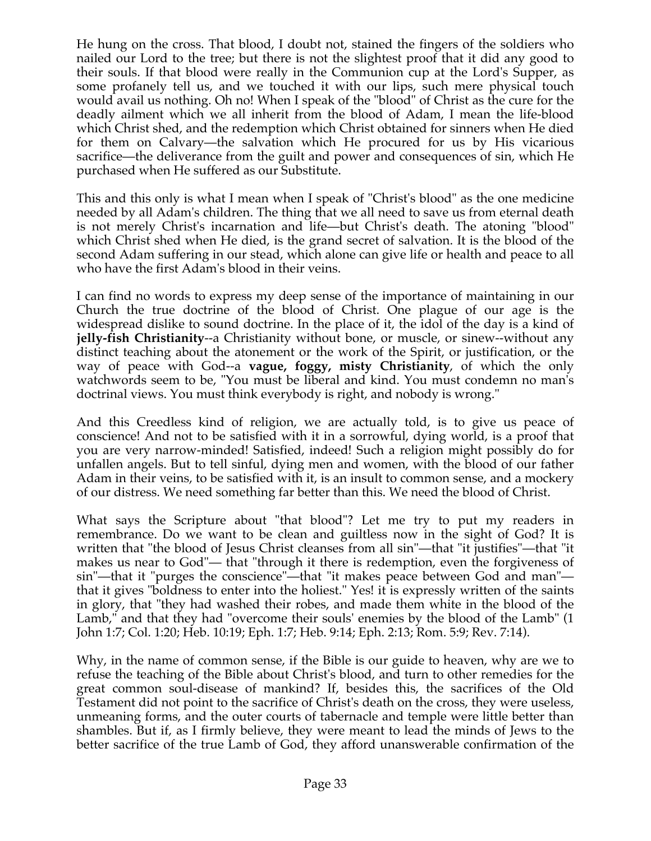He hung on the cross. That blood, I doubt not, stained the fingers of the soldiers who nailed our Lord to the tree; but there is not the slightest proof that it did any good to their souls. If that blood were really in the Communion cup at the Lord's Supper, as some profanely tell us, and we touched it with our lips, such mere physical touch would avail us nothing. Oh no! When I speak of the "blood" of Christ as the cure for the deadly ailment which we all inherit from the blood of Adam, I mean the life-blood which Christ shed, and the redemption which Christ obtained for sinners when He died for them on Calvary—the salvation which He procured for us by His vicarious sacrifice—the deliverance from the guilt and power and consequences of sin, which He purchased when He suffered as our Substitute.

This and this only is what I mean when I speak of "Christ's blood" as the one medicine needed by all Adam's children. The thing that we all need to save us from eternal death is not merely Christ's incarnation and life—but Christ's death. The atoning "blood" which Christ shed when He died, is the grand secret of salvation. It is the blood of the second Adam suffering in our stead, which alone can give life or health and peace to all who have the first Adam's blood in their veins.

I can find no words to express my deep sense of the importance of maintaining in our Church the true doctrine of the blood of Christ. One plague of our age is the widespread dislike to sound doctrine. In the place of it, the idol of the day is a kind of **jelly-fish Christianity--a** Christianity without bone, or muscle, or sinew--without any distinct teaching about the atonement or the work of the Spirit, or justification, or the way of peace with God--a **vague, foggy, misty Christianity**, of which the only watchwords seem to be, "You must be liberal and kind. You must condemn no man's doctrinal views. You must think everybody is right, and nobody is wrong."

And this Creedless kind of religion, we are actually told, is to give us peace of conscience! And not to be satisfied with it in a sorrowful, dying world, is a proof that you are very narrow-minded! Satisfied, indeed! Such a religion might possibly do for unfallen angels. But to tell sinful, dying men and women, with the blood of our father Adam in their veins, to be satisfied with it, is an insult to common sense, and a mockery of our distress. We need something far better than this. We need the blood of Christ.

What says the Scripture about "that blood"? Let me try to put my readers in remembrance. Do we want to be clean and guiltless now in the sight of God? It is written that "the blood of Jesus Christ cleanses from all sin"—that "it justifies"—that "it makes us near to God"— that "through it there is redemption, even the forgiveness of sin"—that it "purges the conscience"—that "it makes peace between God and man" that it gives "boldness to enter into the holiest." Yes! it is expressly written of the saints in glory, that "they had washed their robes, and made them white in the blood of the Lamb," and that they had "overcome their souls' enemies by the blood of the Lamb" (1 John 1:7; Col. 1:20; Heb. 10:19; Eph. 1:7; Heb. 9:14; Eph. 2:13; Rom. 5:9; Rev. 7:14).

Why, in the name of common sense, if the Bible is our guide to heaven, why are we to refuse the teaching of the Bible about Christ's blood, and turn to other remedies for the great common soul-disease of mankind? If, besides this, the sacrifices of the Old Testament did not point to the sacrifice of Christ's death on the cross, they were useless, unmeaning forms, and the outer courts of tabernacle and temple were little better than shambles. But if, as I firmly believe, they were meant to lead the minds of Jews to the better sacrifice of the true Lamb of God, they afford unanswerable confirmation of the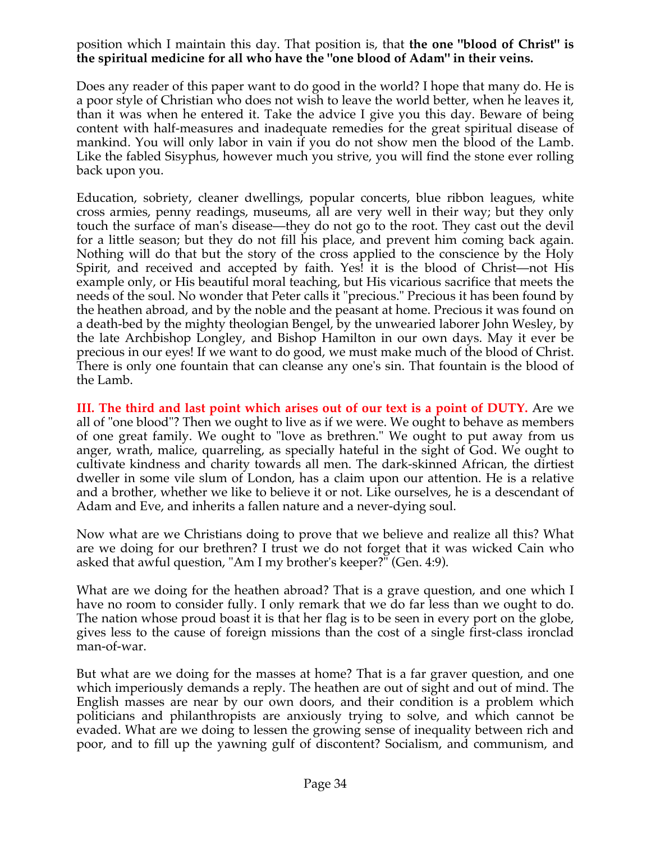### position which I maintain this day. That position is, that **the one "blood of Christ" is the spiritual medicine for all who have the "one blood of Adam" in their veins.**

Does any reader of this paper want to do good in the world? I hope that many do. He is a poor style of Christian who does not wish to leave the world better, when he leaves it, than it was when he entered it. Take the advice I give you this day. Beware of being content with half-measures and inadequate remedies for the great spiritual disease of mankind. You will only labor in vain if you do not show men the blood of the Lamb. Like the fabled Sisyphus, however much you strive, you will find the stone ever rolling back upon you.

Education, sobriety, cleaner dwellings, popular concerts, blue ribbon leagues, white cross armies, penny readings, museums, all are very well in their way; but they only touch the surface of man's disease—they do not go to the root. They cast out the devil for a little season; but they do not fill his place, and prevent him coming back again. Nothing will do that but the story of the cross applied to the conscience by the Holy Spirit, and received and accepted by faith. Yes! it is the blood of Christ—not His example only, or His beautiful moral teaching, but His vicarious sacrifice that meets the needs of the soul. No wonder that Peter calls it "precious." Precious it has been found by the heathen abroad, and by the noble and the peasant at home. Precious it was found on a death-bed by the mighty theologian Bengel, by the unwearied laborer John Wesley, by the late Archbishop Longley, and Bishop Hamilton in our own days. May it ever be precious in our eyes! If we want to do good, we must make much of the blood of Christ. There is only one fountain that can cleanse any one's sin. That fountain is the blood of the Lamb.

**III. The third and last point which arises out of our text is a point of DUTY.** Are we all of "one blood"? Then we ought to live as if we were. We ought to behave as members of one great family. We ought to "love as brethren." We ought to put away from us anger, wrath, malice, quarreling, as specially hateful in the sight of God. We ought to cultivate kindness and charity towards all men. The dark-skinned African, the dirtiest dweller in some vile slum of London, has a claim upon our attention. He is a relative and a brother, whether we like to believe it or not. Like ourselves, he is a descendant of Adam and Eve, and inherits a fallen nature and a never-dying soul.

Now what are we Christians doing to prove that we believe and realize all this? What are we doing for our brethren? I trust we do not forget that it was wicked Cain who asked that awful question, "Am I my brother's keeper?" (Gen. 4:9).

What are we doing for the heathen abroad? That is a grave question, and one which I have no room to consider fully. I only remark that we do far less than we ought to do. The nation whose proud boast it is that her flag is to be seen in every port on the globe, gives less to the cause of foreign missions than the cost of a single first-class ironclad man-of-war.

But what are we doing for the masses at home? That is a far graver question, and one which imperiously demands a reply. The heathen are out of sight and out of mind. The English masses are near by our own doors, and their condition is a problem which politicians and philanthropists are anxiously trying to solve, and which cannot be evaded. What are we doing to lessen the growing sense of inequality between rich and poor, and to fill up the yawning gulf of discontent? Socialism, and communism, and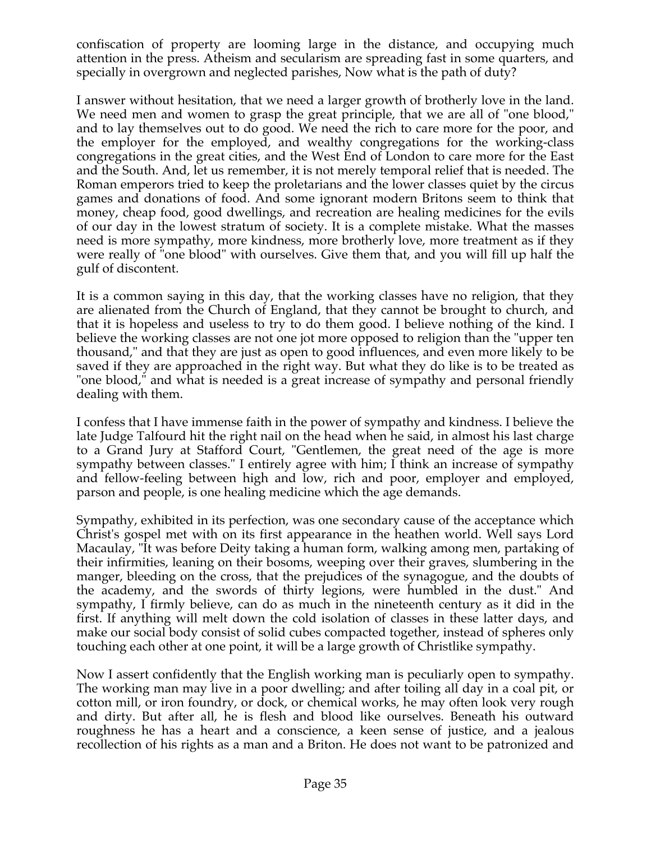confiscation of property are looming large in the distance, and occupying much attention in the press. Atheism and secularism are spreading fast in some quarters, and specially in overgrown and neglected parishes, Now what is the path of duty?

I answer without hesitation, that we need a larger growth of brotherly love in the land. We need men and women to grasp the great principle, that we are all of "one blood," and to lay themselves out to do good. We need the rich to care more for the poor, and the employer for the employed, and wealthy congregations for the working-class congregations in the great cities, and the West End of London to care more for the East and the South. And, let us remember, it is not merely temporal relief that is needed. The Roman emperors tried to keep the proletarians and the lower classes quiet by the circus games and donations of food. And some ignorant modern Britons seem to think that money, cheap food, good dwellings, and recreation are healing medicines for the evils of our day in the lowest stratum of society. It is a complete mistake. What the masses need is more sympathy, more kindness, more brotherly love, more treatment as if they were really of "one blood" with ourselves. Give them that, and you will fill up half the gulf of discontent.

It is a common saying in this day, that the working classes have no religion, that they are alienated from the Church of England, that they cannot be brought to church, and that it is hopeless and useless to try to do them good. I believe nothing of the kind. I believe the working classes are not one jot more opposed to religion than the "upper ten thousand," and that they are just as open to good influences, and even more likely to be saved if they are approached in the right way. But what they do like is to be treated as "one blood," and what is needed is a great increase of sympathy and personal friendly dealing with them.

I confess that I have immense faith in the power of sympathy and kindness. I believe the late Judge Talfourd hit the right nail on the head when he said, in almost his last charge to a Grand Jury at Stafford Court, "Gentlemen, the great need of the age is more sympathy between classes." I entirely agree with him; I think an increase of sympathy and fellow-feeling between high and low, rich and poor, employer and employed, parson and people, is one healing medicine which the age demands.

Sympathy, exhibited in its perfection, was one secondary cause of the acceptance which Christ's gospel met with on its first appearance in the heathen world. Well says Lord Macaulay, "It was before Deity taking a human form, walking among men, partaking of their infirmities, leaning on their bosoms, weeping over their graves, slumbering in the manger, bleeding on the cross, that the prejudices of the synagogue, and the doubts of the academy, and the swords of thirty legions, were humbled in the dust." And sympathy, I firmly believe, can do as much in the nineteenth century as it did in the first. If anything will melt down the cold isolation of classes in these latter days, and make our social body consist of solid cubes compacted together, instead of spheres only touching each other at one point, it will be a large growth of Christlike sympathy.

Now I assert confidently that the English working man is peculiarly open to sympathy. The working man may live in a poor dwelling; and after toiling all day in a coal pit, or cotton mill, or iron foundry, or dock, or chemical works, he may often look very rough and dirty. But after all, he is flesh and blood like ourselves. Beneath his outward roughness he has a heart and a conscience, a keen sense of justice, and a jealous recollection of his rights as a man and a Briton. He does not want to be patronized and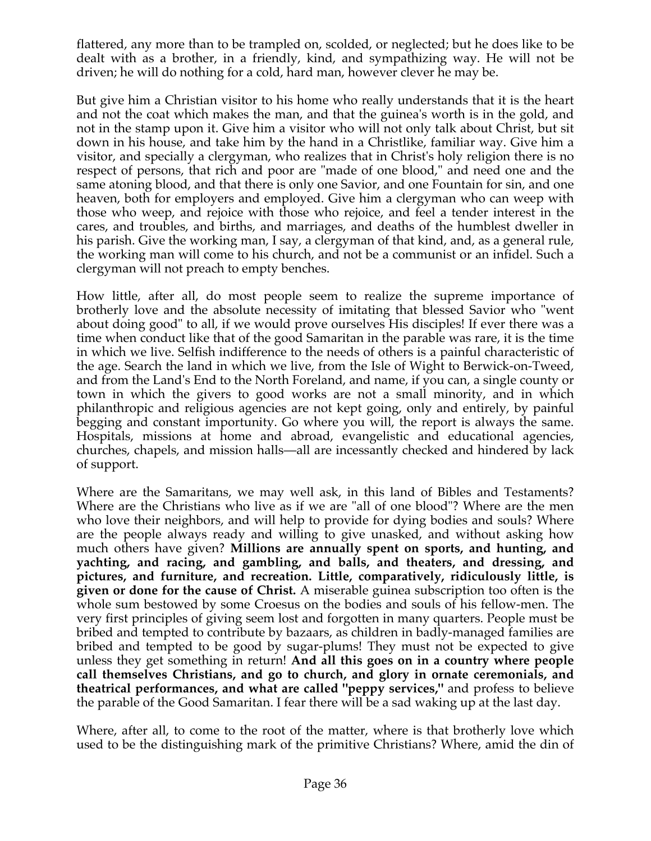flattered, any more than to be trampled on, scolded, or neglected; but he does like to be dealt with as a brother, in a friendly, kind, and sympathizing way. He will not be driven; he will do nothing for a cold, hard man, however clever he may be.

But give him a Christian visitor to his home who really understands that it is the heart and not the coat which makes the man, and that the guinea's worth is in the gold, and not in the stamp upon it. Give him a visitor who will not only talk about Christ, but sit down in his house, and take him by the hand in a Christlike, familiar way. Give him a visitor, and specially a clergyman, who realizes that in Christ's holy religion there is no respect of persons, that rich and poor are "made of one blood," and need one and the same atoning blood, and that there is only one Savior, and one Fountain for sin, and one heaven, both for employers and employed. Give him a clergyman who can weep with those who weep, and rejoice with those who rejoice, and feel a tender interest in the cares, and troubles, and births, and marriages, and deaths of the humblest dweller in his parish. Give the working man, I say, a clergyman of that kind, and, as a general rule, the working man will come to his church, and not be a communist or an infidel. Such a clergyman will not preach to empty benches.

How little, after all, do most people seem to realize the supreme importance of brotherly love and the absolute necessity of imitating that blessed Savior who "went about doing good" to all, if we would prove ourselves His disciples! If ever there was a time when conduct like that of the good Samaritan in the parable was rare, it is the time in which we live. Selfish indifference to the needs of others is a painful characteristic of the age. Search the land in which we live, from the Isle of Wight to Berwick-on-Tweed, and from the Land's End to the North Foreland, and name, if you can, a single county or town in which the givers to good works are not a small minority, and in which philanthropic and religious agencies are not kept going, only and entirely, by painful begging and constant importunity. Go where you will, the report is always the same. Hospitals, missions at home and abroad, evangelistic and educational agencies, churches, chapels, and mission halls—all are incessantly checked and hindered by lack of support.

Where are the Samaritans, we may well ask, in this land of Bibles and Testaments? Where are the Christians who live as if we are "all of one blood"? Where are the men who love their neighbors, and will help to provide for dying bodies and souls? Where are the people always ready and willing to give unasked, and without asking how much others have given? **Millions are annually spent on sports, and hunting, and yachting, and racing, and gambling, and balls, and theaters, and dressing, and pictures, and furniture, and recreation. Little, comparatively, ridiculously little, is given or done for the cause of Christ.** A miserable guinea subscription too often is the whole sum bestowed by some Croesus on the bodies and souls of his fellow-men. The very first principles of giving seem lost and forgotten in many quarters. People must be bribed and tempted to contribute by bazaars, as children in badly-managed families are bribed and tempted to be good by sugar-plums! They must not be expected to give unless they get something in return! **And all this goes on in a country where people call themselves Christians, and go to church, and glory in ornate ceremonials, and theatrical performances, and what are called "peppy services,"** and profess to believe the parable of the Good Samaritan. I fear there will be a sad waking up at the last day.

Where, after all, to come to the root of the matter, where is that brotherly love which used to be the distinguishing mark of the primitive Christians? Where, amid the din of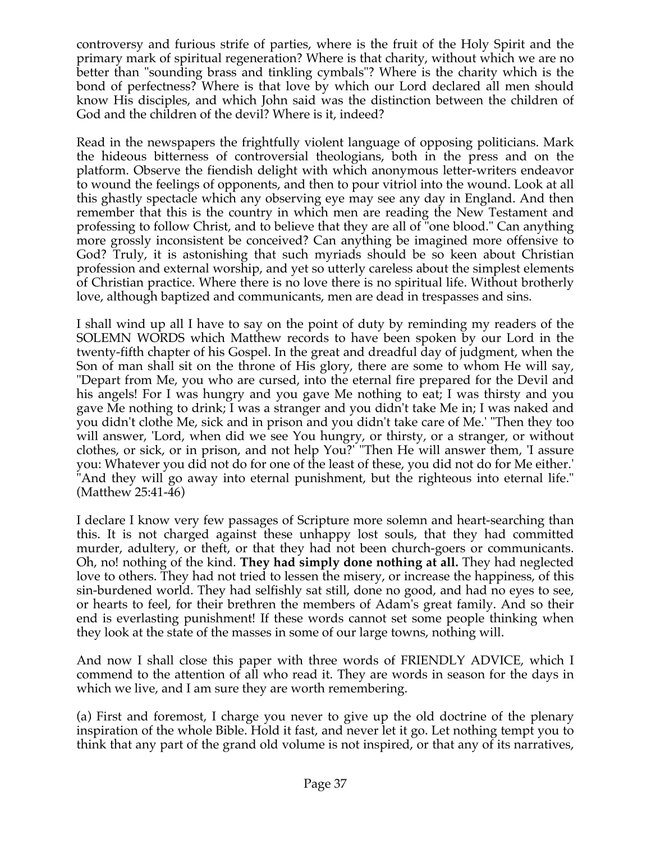controversy and furious strife of parties, where is the fruit of the Holy Spirit and the primary mark of spiritual regeneration? Where is that charity, without which we are no better than "sounding brass and tinkling cymbals"? Where is the charity which is the bond of perfectness? Where is that love by which our Lord declared all men should know His disciples, and which John said was the distinction between the children of God and the children of the devil? Where is it, indeed?

Read in the newspapers the frightfully violent language of opposing politicians. Mark the hideous bitterness of controversial theologians, both in the press and on the platform. Observe the fiendish delight with which anonymous letter-writers endeavor to wound the feelings of opponents, and then to pour vitriol into the wound. Look at all this ghastly spectacle which any observing eye may see any day in England. And then remember that this is the country in which men are reading the New Testament and professing to follow Christ, and to believe that they are all of "one blood." Can anything more grossly inconsistent be conceived? Can anything be imagined more offensive to God? Truly, it is astonishing that such myriads should be so keen about Christian profession and external worship, and yet so utterly careless about the simplest elements of Christian practice. Where there is no love there is no spiritual life. Without brotherly love, although baptized and communicants, men are dead in trespasses and sins.

I shall wind up all I have to say on the point of duty by reminding my readers of the SOLEMN WORDS which Matthew records to have been spoken by our Lord in the twenty-fifth chapter of his Gospel. In the great and dreadful day of judgment, when the Son of man shall sit on the throne of His glory, there are some to whom He will say, "Depart from Me, you who are cursed, into the eternal fire prepared for the Devil and his angels! For I was hungry and you gave Me nothing to eat; I was thirsty and you gave Me nothing to drink; I was a stranger and you didn't take Me in; I was naked and you didn't clothe Me, sick and in prison and you didn't take care of Me.' "Then they too will answer, 'Lord, when did we see You hungry, or thirsty, or a stranger, or without clothes, or sick, or in prison, and not help You?' "Then He will answer them, 'I assure you: Whatever you did not do for one of the least of these, you did not do for Me either.' "And they will go away into eternal punishment, but the righteous into eternal life." (Matthew 25:41-46)

I declare I know very few passages of Scripture more solemn and heart-searching than this. It is not charged against these unhappy lost souls, that they had committed murder, adultery, or theft, or that they had not been church-goers or communicants. Oh, no! nothing of the kind. **They had simply done nothing at all.** They had neglected love to others. They had not tried to lessen the misery, or increase the happiness, of this sin-burdened world. They had selfishly sat still, done no good, and had no eyes to see, or hearts to feel, for their brethren the members of Adam's great family. And so their end is everlasting punishment! If these words cannot set some people thinking when they look at the state of the masses in some of our large towns, nothing will.

And now I shall close this paper with three words of FRIENDLY ADVICE, which I commend to the attention of all who read it. They are words in season for the days in which we live, and I am sure they are worth remembering.

(a) First and foremost, I charge you never to give up the old doctrine of the plenary inspiration of the whole Bible. Hold it fast, and never let it go. Let nothing tempt you to think that any part of the grand old volume is not inspired, or that any of its narratives,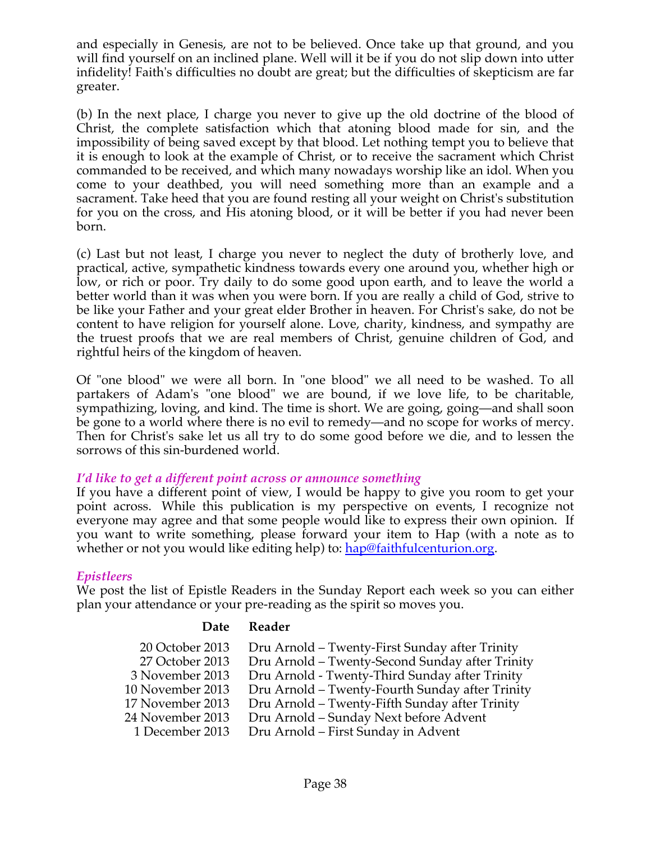and especially in Genesis, are not to be believed. Once take up that ground, and you will find yourself on an inclined plane. Well will it be if you do not slip down into utter infidelity! Faith's difficulties no doubt are great; but the difficulties of skepticism are far greater.

(b) In the next place, I charge you never to give up the old doctrine of the blood of Christ, the complete satisfaction which that atoning blood made for sin, and the impossibility of being saved except by that blood. Let nothing tempt you to believe that it is enough to look at the example of Christ, or to receive the sacrament which Christ commanded to be received, and which many nowadays worship like an idol. When you come to your deathbed, you will need something more than an example and a sacrament. Take heed that you are found resting all your weight on Christ's substitution for you on the cross, and His atoning blood, or it will be better if you had never been born.

(c) Last but not least, I charge you never to neglect the duty of brotherly love, and practical, active, sympathetic kindness towards every one around you, whether high or low, or rich or poor. Try daily to do some good upon earth, and to leave the world a better world than it was when you were born. If you are really a child of God, strive to be like your Father and your great elder Brother in heaven. For Christ's sake, do not be content to have religion for yourself alone. Love, charity, kindness, and sympathy are the truest proofs that we are real members of Christ, genuine children of God, and rightful heirs of the kingdom of heaven.

Of "one blood" we were all born. In "one blood" we all need to be washed. To all partakers of Adam's "one blood" we are bound, if we love life, to be charitable, sympathizing, loving, and kind. The time is short. We are going, going—and shall soon be gone to a world where there is no evil to remedy—and no scope for works of mercy. Then for Christ's sake let us all try to do some good before we die, and to lessen the sorrows of this sin-burdened world.

#### *I'd like to get a different point across or announce something*

If you have a different point of view, I would be happy to give you room to get your point across. While this publication is my perspective on events, I recognize not everyone may agree and that some people would like to express their own opinion. If you want to write something, please forward your item to Hap (with a note as to whether or not you would like editing help) to: hap@faithfulcenturion.org.

## *Epistleers*

We post the list of Epistle Readers in the Sunday Report each week so you can either plan your attendance or your pre-reading as the spirit so moves you.

#### **Date Reader**

| 20 October 2013  | Dru Arnold – Twenty-First Sunday after Trinity  |
|------------------|-------------------------------------------------|
| 27 October 2013  | Dru Arnold - Twenty-Second Sunday after Trinity |
| 3 November 2013  | Dru Arnold - Twenty-Third Sunday after Trinity  |
| 10 November 2013 | Dru Arnold - Twenty-Fourth Sunday after Trinity |
| 17 November 2013 | Dru Arnold - Twenty-Fifth Sunday after Trinity  |
| 24 November 2013 | Dru Arnold - Sunday Next before Advent          |
| 1 December 2013  | Dru Arnold - First Sunday in Advent             |
|                  |                                                 |